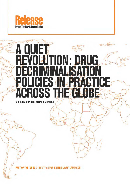

# A QUIET SERVE DECRIMINALISATION **POLICIES IN PRACTICE ACROSS THE GLOBE**

ARI ROSMARIN AND NIAMH EASTWOOD

'DRUGS - IT'S TIME FOR BETTER LAWS' CAMPAIGN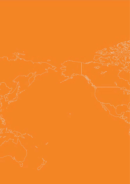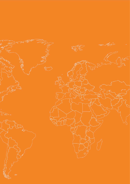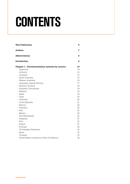# **CONTENTS**

| <b>This Publication</b>                          |    |
|--------------------------------------------------|----|
| <b>Authors</b>                                   | 7  |
| <b>Abbreviations</b>                             | 8  |
| Introduction                                     | 9  |
| Chapter 1 - Decriminalisation systems by country | 14 |
| - Argentina                                      | 14 |
| - Armenia                                        | 15 |
| - Australia                                      | 15 |
| - South Australia                                | 15 |
| - Western Australia                              | 16 |
| - Australian Capital Territory                   | 17 |
| - Northern Territory                             | 18 |
| - Australia: Conclusions                         | 18 |
| - Belgium                                        | 19 |
| - Brazil                                         | 19 |
| - Chile                                          | 20 |
| - Colombia                                       | 20 |
| - Czech Republic                                 | 21 |
| - Estonia                                        | 22 |
| - Germany                                        | 22 |
| - Italy                                          | 23 |
| - Mexico                                         | 25 |
| - The Netherlands                                | 25 |
| - Paraguay                                       | 27 |
| - Peru                                           | 27 |
| - Poland                                         | 27 |
| - Portugal                                       | 28 |
| - The Russian Federation                         | 30 |
| - Spain                                          | 32 |
| - Uruguay                                        | 33 |
| - United States of America: State of California  | 34 |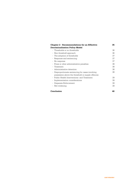| <b>Chapter 2 - Recommendations for an Effective</b>                    | 35 |
|------------------------------------------------------------------------|----|
| <b>Decriminalisation Policy Model</b><br>- Thresholds or no thresholds | 36 |
| - Non threshold approach                                               | 36 |
| - The adoption of thresholds                                           | 37 |
| - Response and sentencing                                              | 37 |
| - No response                                                          | 37 |
| - Fines or other administrative penalties                              | 38 |
| - Treatment                                                            | 38 |
| - Administrative detention                                             | 38 |
| - Disproportionate sentencing for cases involving                      | 38 |
| possession above the threshold or supply offences                      |    |
| - Public Health Interventions and Treatment                            | 39 |
| - Implementation considerations                                        | 39 |
| - Disparate Enforcement                                                | 39 |
| - Net-widening                                                         | 39 |
|                                                                        |    |

#### **Conclusion**

**40**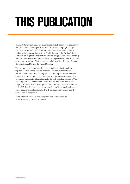# **THIS PUBLICATION**

'A Quiet Revolution: Drug Decriminalisation Policies in Practice Across the Globe' is the first report to support Release's campaign 'Drugs - It's Time for Better Laws'. This campaign was launched in June 2011 and saw the organisation write to David Cameron, the British Prime Minister, calling for a review of our current drug policies and promoting the introduction of decriminalisation of drug possession. The letter was supported by high profile individuals including Sting, Richard Branson, Caroline Lucas MP and Baroness Meacher.

The campaign will progress this year with the publication of three reports: the first, this paper on decriminalisation, demonstrates that the law enforcement model adopted has little impact on the levels of drug use within a country and yet the criminalisation of people who use drugs causes significant harms to the individual and society. The second paper will be launched in autumn 2012 and will look at the disproportionate policing and prosecution of drug possession offences in the UK. The final report to be launched in early 2013 will look at the crude economic costs associated with policing and prosecuting the possession of drugs in the UK.

More information about the campaign can be accessed at: www.release.org.uk/decriminalisation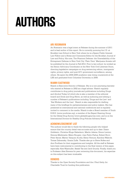## **AUTHORS**

#### **ARI ROSMARIN**

Ari Rosmarin was a legal intern at Release during the summer of 2011 and is lead author of this report. He is currently pursuing his J.D. at Brooklyn Law School in New York where he is a Sparer Public Interest Law Fellow and a Notes and Comments Editor for the Brooklyn Journal of Law and Policy. His note, The Phantom Defense: the Unavailability of the Entrapment Defense in New York City 'Plain View' Marijuana Arrests will be published by the Journal in Fall 2012. Prior to law school, he worked as the Senior Advocacy Coordinator at the New York Civil Liberties Union, directing legislative campaigns on drug sentencing reform, immigrants' rights, privacy rights, and post-9/11 government surveillance, among others. He spent the 2004-2005 academic year doing coursework at the LSE and graduated from Columbia University in 2006.

#### **NIAMH EASTWOOD**

Niamh is Executive Director of Release. She is a non-practising barrister who started at Release in 2002 as a legal advisor. Niamh regularly contributes to drug policy journals and publications including Drugs and Alcohol Today (of which she is also a member of the editorial board) and Drink and Drug News, as well as authoring and editing a number of Release's publications including 'Drugs and the Law' and 'Sex Workers and the Law'. Niamh is also responsible for drafting many of the briefings for parliamentarians and policy makers. She has presented at international and national conferences and is regularly invited to comment in the media. Niamh is also a Board member of Youth R.IS.E. (www.youthrise.org), a member of the Expert Steering Group for the Global Drug Survey (www.globaldrugsurvey.com), and is on the International Doctors for Healthy Drug Policies Advisory Board.

#### **ACKNOWLEDGEMENT LIST**

The authors would like to thank the following people who helped ensure that the country detail was accurate and up to date: Diane Goldstein; Christine Kluge Haberkorn; Martin Jelsma; Simon Lenton; Simona Merkinaite; Maire Nougier; Joao Pedro Padua; Robert Ricci; Peter Sarosi; Martin Vazquez Acuña; Elena Ventura; Karolina Walecik; Tomas Zabransky; Grazia Zuffa. Thanks also go to Steve Rolles and Ann Fordham for their suggestions and insights. All the staff at Release have been instrumental in contributing to the final version of this paper, especially Alex Wijsmuller; Basak Tas and Jack Grundy. Finally, thank you to Professor Alex Stevens for peer reviewing this document, his expertise on this subject has been invaluable.

### **DONORS**

Thanks to the Open Society Foundation and the J Paul Getty Jnr Charitable Trust for funding this publication.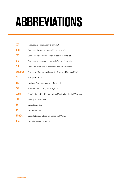## **ABBREVIATIONS**

| CDT           | 'dissuasion commission' (Portugal)                            |
|---------------|---------------------------------------------------------------|
| <b>CEN</b>    | Cannabis Expiation Notice (South Australia)                   |
| <b>CES</b>    | Cannabis Education Session (Western Australia)                |
| CIN           | Cannabis Infringement Notice (Western Australia)              |
| CIS           | Cannabis Intervention Session (Western Australia)             |
| <b>EMCDDA</b> | European Monitoring Centre for Drugs and Drug Addiction       |
| EU            | European Union                                                |
| <b>INE</b>    | National Statistics Institute (Portugal)                      |
| <b>PVS</b>    | Process-Verbal Simplifié (Belgium)                            |
| <b>SCON</b>   | Simple Cannabis Offence Notice (Australian Capital Territory) |
| THC           | tetrahydrocannabinol                                          |
| UK            | United Kingdom                                                |
| UN            | <b>United Nations</b>                                         |
| <b>UNODC</b>  | United Nations Office On Drugs and Crime                      |
| USA           | United States of America                                      |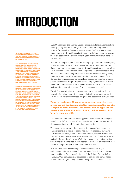## **INTRODUCTION**

**1. BEWLEY-TAYLOR, D., HALLAM, C., ALLEN, R. THE INCARCERATION OF DRUG OFFENDERS: AN OVERVIEW, THE BECKLEY FOUNDATION, 2009, AVAILABLE AT HTTP:// WWW.BECKLEYFOUNDATION.ORG/PDF/BF\_REPORT\_16. PDF, VISITED 15 MAY 2012** 

**2. ONE RECENT REPORT BY A HARVARD ECONOMIST FOUND THAT THE UNITED STATES ALONE SPENT APPROXIMATELY 49 BILLION DOLLARS IN 2008 ON DRUG PROHIBITION COSTS. MIRON, A. THE BUDGETARY IMPLICATIONS OF DRUG PROHIBITION, 2010, AVAILABLE AT HTTP://SCHOLAR.HARVARD.EDU/MIRON/JMIRON/ FILES/BUDGET\_2010\_FINAL\_0.PDF, ACCESSED 14 MAY 2012. ONE ESTIMATE HAS PLACED GLOBAL ANNUAL SPENDING AT OVER 100 BILLION DOLLARS. KRIER, S., FIELDING, A. THE FISCAL SIGNIFICANCE OF DRUGS, THE BECKLEY FOUNDATION, 2011, AVAILABLE AT HTTP://WWW.<br>RECKLEVENIINDATION.ORG/2011/08/09/THE-FISCAL-BECKLEYFOUNDATION.ORG/2011/08/09/THE-FISCAL-SIGNIFICANCE-OF-DRUGS/, VISITED 15 MAY 2012.**

**3. DECRIMINALISATION IS DEFINED AS 'THE REMOVAL OF SANCTIONS UNDER THE CRIMINAL LAW, WITH OPTIONAL USE OF ADMINISTRATIVE SANCTIONS (E.G. PROVISION OF CIVIL FINES OR COURT-ORDERED THERAPEUTIC RESPONSES)' – HUGHES CE, STEVENS A. WHAT CAN WE LEARN FROM THE PORTUGUESE DECRIMINALIZATION OF ILLICIT DRUGS? BRITISH JOURNAL OF CRIMINOLOGY 2010;50:999–1022. UNDER DECRIMINALISATION REGIMES, POSSESSION AND USE OF SMALL AMOUNTS OF DRUGS ARE STILL UNLAWFUL, BUT NOT CRIMINAL. FOR THE PURPOSES OF THIS REPORT, WE CONSIDER A DECRIMINALISATION POLICY TO BE ONE THAT REMOVES THE IMPOSITION OF A PERMANENT CRIMINAL RECORD AS A RESULT OF DRUG-POSSESSION OR DRUG-USE OFFENCES – THIS INCLUDES BOTH DE JURE AND DE FACTO APPROACHES TO DECRIMINALISATION.**

Over 50 years into the 'War on Drugs,' national and international debate on drug policy continues to rage unabated, with few tangible results to show for the effort. Rates of drug use remain high across the world, incarceration for drug offences is at record levels, $<sup>1</sup>$  and spending to wage</sup> the 'war' costs billions of pounds each year.<sup>2</sup> Our current drug policies are a failure.

But, across the globe, and out of the spotlight, governments are adopting a different policy approach to address drug use in their communities. Some are reducing harsh penalties for drug offences to save costs; others are increasing their harm reduction and public health measures to limit the destructive impact of problematic drug use. However, rising costs, commitments to personal autonomy, and mounting evidence of the devastating consequences for individuals associated with the criminal justice response to drugs – stigmatisation, employment decline, public health harm – have led a number of countries towards an alternative policy option: decriminalisation of drug possession and use.<sup>3</sup>

To call the decriminalisation option a new one is misleading. Some countries have had decriminalisation policies in place since the early 1970s; others never criminalised drug use and possession to begin with.

**However, in the past 10 years, a new wave of countries have moved toward the decriminalisation model, suggesting growing recognition of the failures of the criminalisation approach and a strengthening political wind blowing in the direction of an historic paradigm shift.**

The models of decriminalisation vary; some countries adopt a de jure model – one defined by law; others have de-prioritised the policing of drug possession through de facto decriminalisation.

The recent trend towards decriminalisation has not been centred on one continent or in richer or poorer nations – countries as disparate as Armenia, Belgium, Chile, the Czech Republic, Estonia, Mexico and Portugal, among others, have all adopted some form of decriminalisation policy in the last decade or so. While the precise number of countries with formal decriminalisation policies is not clear, it is probably between 25 and 30, depending on which definitions are used.

In 2011, the decriminalisation policy model received a major endorsement when the Global Commission on Drug Policy published its report War on Drugs, which discussed the failure of the global war on drugs. This commission is composed of current and former heads of state, human rights and global health experts, economists, United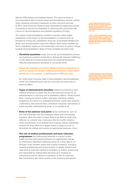Nations (UN) leaders and business leaders. The report included a recommendation that countries adopt decriminalisation policies, among other initiatives including investment in harm reduction services.<sup>4</sup> In 2012, Latin American heads of state responded by beginning a series of summits to discuss the feasibility of reforming their drug laws with a focus on decriminalisation and possible regulation of drugs.<sup>5</sup>

The variety of decriminalisation models in practice today makes assessment of the impact of decriminalisation on metrics such as prevalence of drug use, problematic drug use, drug-related disease and death, and criminal justice costs very difficult. Each policy variable can have a significant impact on the measurable outcomes of a policy change towards decriminalisation. Some of these variables are listed next:

- **Threshold quantities:** many, but not all, decriminalisation policies use maximum-quantity thresholds to distinguish between trafficking or sale offences (criminal prosecution) and personal possession offences (administrative penalties or non-prosecution).

#### **Using the example of cocaine, Mexico allows possession of up to 0.5 grams of cocaine without prosecution, while Spain allows up to 7.5 grams – a difference of 1400 per cent.**<sup>6</sup>

 So, while some countries claim to have adopted a decriminalisation model, the threshold levels may be so low that the policy has no practical effect.

- **Types of administrative penalties:** different jurisdictions have different sanctions in place that an individual may receive for an administrative or civil drug-use or possession offence. These include: fines, community-service orders, warnings, education classes, suspension of a driver's or professional licence, travel bans, property confiscation, associational bans, mandatory reporting, termination of public benefits, administrative arrest, or no penalty at all.
- **Roles of the judiciary and police:** some jurisdictions, such as the Czech Republic and the Australian states with civil penalty schemes, allow the police to issue fines in the field for small drug offences, in a similar way to issuing a fine for a traffic violation. Other jurisdictions, such as Brazil and Uruguay, require individuals arrested for drug offences to appear before a judge in court, to determine the charge and receive an appropriate sentence, if any.
- **The role of medical professionals and harm reduction programmes:** the relationship between a country's public health and law-enforcement systems can significantly change an individual's experience following arrest for a drug offence. In Portugal, every arrestee meets with a panel of experts, including medical professionals and social workers, to assess whether and what kind of treatment referral is necessary. In Poland, prosecutors are responsible for making final decisions as to whether an individual should be referred to treatment in lieu of a sanction. Each jurisdiction also varies greatly in the resources allocated to

**4. GLOBAL COMMISSION ON DRUG POLICY. WAR ON DRUGS. REPORT OF THE GLOBAL COMMISSION ON DRUG POLICY. RIO DE JANEIRO: GLOBAL COMMISSION ON DRUG POLICY, 2011 (HTTP://WWW. GLOBALCOMMISSIONONDRUGS.ORG/, ACCESSED 10 MAY 2012).**

**5. SMITH P. CENTRAL AMERICAN PRESIDENTS HOLD DRUG LEGALIZATION SUMMIT. THE GUATEMALA TIMES 25 MARCH 2012 (HTTP://WWW.GUATEMALA-TIMES. COM/NEWS/GUATEMALA/3018-CENTRAL-AMERICAN-PRESIDENTS-HOLD-DRUG-LEGALIZATION-SUMMIT.HTML, ACCESSED 11 MAY 2012).**

**6. EUROPEAN MONITORING CENTRE FOR DRUGS AND DRUG ADDICTION (EMCDDA). THRESHOLD QUANTITIES FOR DRUG OFFENCES. LISBON: EMCDDA, 2010 (HTTP:// WWW.EMCDDA.EUROPA.EU/HTML.CFM/INDEX99321EN. HTML, ACCESSED 1 MAY 2012).**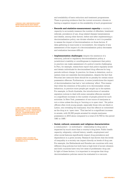**7. STOICESCU C, COOK C. HARM REDUCTION IN EUROPE: MAPPING COVERAGE AND CIVIL SOCIETY ADVOCACY. LONDON: EUROPEAN HARM REDUCTION NETWORK, 2010.**

**8. LEVINE H, SIEGEL L. \$75 MILLION A YEAR. NEW YORK: DRUG POLICY ALLIANCE, 2011 (HTTP://WWW.DRUGPOLICY. ORG/DOCUPLOADS/\_75\_MILLION\_A\_YEAR.PDF, ACCESSED 11 MAY 2012) – THE MARIJUANA REFORM ACT, WHICH EFFECTIVELY DECRIMINALISED POSSESSION, WAS ENACTED IN 1977.**

**9. WILKINSON R, PICKETT K. THE SPIRIT LEVEL: WHY EQUALITY IS BETTER FOR EVERYONE. LONDON: PENGUIN BOOKS, 2010: P.71.** 

and availability of harm reduction and treatment programmes. There is growing evidence that the current economic climate is having a negative impact on the availability of such programmes.<sup>7</sup>

- **Records and statistics-measurement capacity:** a country's capacity to accurately measure the number of offenders, treatment referrals, prevalence of use, drug-related disease transmissions and deaths, among other factors, before and after implementing a decriminalisation policy, can dictate whether or not it is possible to assess the impact of decriminalisation on those factors. If data gathering is inaccurate or inconsistent, the integrity of any assessment of the impact of a decriminalisation policy decreases and evaluation becomes difficult.
- **Implementation challenges:** despite the existence of a statutory, judicial or regulatory decriminalisation policy, a jurisdiction's inability or unwillingness to implement that policy in practice can make assessment of a policy's merits challenging. In Peru, for example, researchers report that police regularly arrest and detain individuals for decriminalised drug offences for long periods without charge. In practice, for those in detention, such a system does not resemble decriminalisation, despite the fact that Peruvian law instructs there should be no penalty for certain minor possession offences. Furthermore, in some jurisdictions the impact of decriminalisation has had a 'net-widening' effect. This means that while the intention of the policy is to decriminalise certain behaviour, in practice more people get caught up in the system. For example, in South Australia, the introductions of cannabis expiation notices to deal with some cannabis offences resulted in a significant increase in the number of people policed for such activities. In New York, possession of one ounce of marijuana is not a crime unless the drug is 'burning or in open view'. Yet police officers often trick young people, especially those who are black or Latino, into revealing the marijuana; thus the offence is committed as the drug is in 'open view.' This has led to a significant increase in arrests, with 50,300 people arrested for simple marijuana possession in 2010 alone compared to a total of 33,700 for the period 1981 to 1995.<sup>8</sup>
- **Social, cultural, economic and religious characteristics:**

a community's – or individual's – relationship to drug use is impacted by much more than a country's drug laws. Public health capacity, religiosity, cultural history, wealth, employment and other social features significantly impact drug prevalence and dependence in a given society. Research has shown that the levels of inequality in a society can impact directly on levels of drug use. For example, the Netherlands and Sweden are countries with very different drug policies but both have a high level of social cohesion and both countries have very low rates of problematic drug use.<sup>9</sup> In light of these factors, it is important to recognise that drugdecriminalisation policies cannot be evaluated in a vacuum.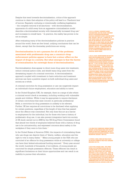Despite this trend towards decriminalisation, critics of the approach continue to claim that adoption of the policy will lead to a 'Pandora's box' of horrors. Regularly confusing or intentionally conflating legalisation – the complete removal of all sanctions – with decriminalisation, opponents of a shift away from an aggressive criminalisation model describe a decriminalised society with dramatically increased drug use<sup>10</sup> and increases in overall harm.<sup>11</sup> In practice, the reality has proven to be not so simple.

After evaluating many of the decriminalisation policies in practice around the world, there are few broad, unifying conclusions that can be drawn, except that the doomsday predictions are wrong.

**Decriminalisation is not a panacea for all of the problems associated with problematic drug use; a country's drugenforcement policies appear to have but a minor effect on the impact of drugs in a society. But what emerges is that the harms of criminalisation far outweigh those of decriminalisation.**

Decriminalisation does appear to direct more drug users into treatment, reduce criminal justice costs, and shield many drug users from the devastating impact of a criminal conviction. A decriminalisation approach coupled with investment in harm reduction and treatment services can have a positive impact on both individual drug users and society as a whole.

A criminal conviction for drug possession or use can negatively impact an individual's future employment, education and ability to travel.

In the United Kingdom (UK), for example, there is a range of jobs where a criminal record check is necessary, including working with vulnerable people and children. While it may be appropriate to require disclosure of certain convictions that raise concern in particular professional fields, a conviction for drug possession is unlikely to be relevant. Further, UK law requires all convictions to be disclosed when applying for certain positions, regardless of the length of time that has passed since the offence was committed. Not only does this act as a barrier to employment for the individual, but for those who have a history of problematic drug use, it can also prevent integration back into society. A UK study carried out in 2008 by the UK Drug Policy Commission found that almost two-thirds of employers believed those with a history of drug use to be untrustworthy, and expressed concerns about safety in the workplace if they were to hire them.<sup>12</sup>

In the United States of America (USA), the impacts of criminalising those who use drugs can deprive them of 'liberty, welfare, education and the right to vote in many states.'13 Many young people in the USA who are convicted of an offence for drug possession while at university or college can have their federal educational funding removed.<sup>14</sup> Every year around the world, hundreds of thousands, if not millions, of young people are convicted for simple possession offences. These offences can result in significant limitations on their future opportunities and can result in an inability to pursue their education.

**10. SEE, E.G., HITCHENS P. ARGUMENTS AGAINST LEGALISING DRUGS. DAILY MAIL ONLINE 9 NOVEMBER 2009 (HTTP://HITCHENSBLOG.MAILONSUNDAY. CO.UK/2009/11/ARGUMENTS-AGAINST-LEGALISING-DRUGS. HTML, ACCESSED 11 MAY 2012) – CLAIMING THAT 'IN EVERY COUNTRY WHERE THE LAWS HAVE BEEN RELAXED DRUG USE HAS INCREASED'; PHILLIPS M. GEO MICHAEL GOES TO JUNKIE HEAVEN. DAILY MAIL ONLINE 20 SEPTEMBER 2010 (HTTP://WWW.MELANIEPHILLIPS. COM/GEORGE-MICHAEL-GOES-TO-JUNKIE-HEAVEN, ACCESSED 11 MAY 2012) – CLAIMING REPORTS THAT PORTUGAL'S DECRIMINALISATION POLICY HAS LED TO A FALL IN DRUG USE AMONG YOUNG PEOPLE AS 'STATISTICAL JIGGERY-POKERY'.**

**11. SEE, E.G., BLAIR I. RICHARD BRANSON AND IAN BLAIR DEBATE DRUG DECRIMINALISATION. THE GUARDIAN 16 MARCH 2012 (HTTP://WWW.GUARDIAN.CO.UK/ COMMENTISFREE/2012/MAR/16/CONVERSATION-DRUGS-DECRIMINALISATION-RICHARD-BRANSON, ACCESSED 11 MAY 2012) – 'IF WE LET GO INTO A WORLD OF LEGALISED DRUGS, WE HAVE NO IDEA WHAT THAT IS GOING TO DO TO FUTURE GENERATIONS. . . . EVERYTHING WE'VE SEEN ABOUT DECRIMINALISATION JUST FREES UP THE DRUG BARONS, BECAUSE THEY ARE IN A POSITION TO CONTINUE A SUBSTANTIAL MARKET WITHOUT LAW-ENFORCEMENT'; GYNGELL K. A RESPONSE TO PROF. STEVENS ON DRUG ON. LONDON: CENTRE FOR STUDIES, 2011, (HTTP://WWW.CPS.ORG.UK/BLOG/Q/** DATE/2011/05/16/A-RESPONSE-TO-PROF-STEVENS-ON **DRUG-DECRIMINALISATION/ ACCESSED 11 MAY 2012) SUGGESTING THAT DECRIMINALISATION POLICIES MIGHT LEAD TO INCREASED DRUG USE AND HARM.**

**12. UK DRUG POLICY COMMISSION. WORKING TOWARDS RECOVERY: GETTING PROBLEM DRUG USERS INTO JOBS. LONDON: UK DRUG POLICY COMMISSION, 2008 (HTTP:// WWW.UKDPC.ORG.UK/RESOURCES/WORKING\_TOWARDS\_ RECOVERY.PDF, ACCESSED 11 MAY 2012).**

**13. STEVENS A. DRUGS, CRIME AND PUBLIC HEALTH: THE POLITICAL ECONOMY OF DRUG POLICY. ABINGDON: ROUTLEDGE, 2010: P.116.**

**14. SEE 20 USC § 1091(R)(1) (2006) – FOR A SINGLE OFFENSE, AID IS SUSPENDED FOR ONE YEAR; FOR A SECOND OFFENSE, AID IS SUSPENDED FOR TWO YEARS; FOR A THIRD OFFENSE, AID IS SUSPENDED INDEFINITELY; 20 USC § 1091(R)(2) (2006) – UNDER THE LAW, A STUDENT WHOSE ELIGIBILITY FOR FEDERAL AID HAS BEEN SUSPENDED CAN REGAIN THE AID BEFORE THE FULL SUSPENSION PERIOD IF THE STUDENT COMPLETES A DRUG REHABILITATION PROGRAM AND PASSES TWO UNANNOUNCED DRUG TESTS (HTTP://WWW.LAW.CORNELL. EDU/USCODE/TEXT/20/1091, ACCESSED 20 MAY 2012).**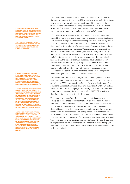**15. KING R. DISPARITY BY GEOGRAPHY: THE WAR ON DRUGS IN AMERICAS CITIES. THE SENTENCING PROJECT. 2008: P.10 (HTTP://WWW.SENTENCINGPROJECT.ORG/DOC/ PUBLICATIONS/DP\_DRUGARRESTREPORT.PDF ACCESSED 2 JULY 2012) - BY 2003, AFRICAN AMERICANS WERE ARRESTED FOR DRUG OFFENSES AT A RATE THAT WAS 238% HIGHER THAN WHITES.**

**16. STEVENS A. DRUGS, CRIME AND PUBLIC HEALTH: THE POLITICAL ECONOMY OF DRUG POLICY. ROUTLEGDE, 2010: P116 - OVER 5 MILLION AFRRICAN AMERICANS HAVE LOST THE RIGHT TO VOTE, OVER A THIRD ARE CLASSED AS DRUG OFFENDERS.**

**17. WORLD HEALTH ORGANISATION. ASSESSMENT OF COMPULSORY TREATMENT OF PEOPLE WHO USE DRUGS IN CAMBODIA, CHINA, MALAYSIA AND VIETNAM: AN APPLICATION OF SELECTED HUMAN RIGHTS PRINCIPLES. WESTERN PACIFIC REGION: WORLD HEALTH ORGANISATION, 2009 (HTTP://WWW.WPRO. WHO.INT/PUBLICATIONS/DOCS/FINALFORWEB\_MAR17\_ COMPULSORY\_TREATMENT.PDF, ACCESSED 20 MAY 2012).** 

**18. MINISTRY OF JUSTICE, CRIMINAL JUSTICE STATISTICS ENGLAND AND WALES, 2010, CONVICTION TABLES, TAB. A.10 (HTTP://WWW.JUSTICE.GOV.UK/STATISTICS/CRIMINAL-JUSTICE/CRIMINAL-JUSTICE-STATISTICS, ACCESSED 14 MAY 2012). A PROBLEM WITH THESE STATISTICS IS THAT CANNABIS CONVICTIONS AND CAUTIONS APPEAR TO BE RECORDED BOTH UNDER CANNABIS SPECIFIC AND CLASS B OFFENCES. THE NUMBER CONVICTED AND CAUTIONED FOR CANNABIS POSSESS WAS 62,842 AND IN 2010 IT WAS 44,058 FOR CANNABIS POSSESSION AND 8454 FOR CLASS B POSSESSION. A FURTHER 79,000 PEOPLE RECEIVED CANNABIS WARNINGS AND 13,916 RECEIVED PENALTY NOTICES FOR DISORDER.**

**19. HARRIS G. CONVICTION BY NUMBERS: THRESHOLD QUANTITIES FOR DRUG POLICY. SERIES ON LEGISLATIVE REFORM OF DRUG POLICIES NO. 14. AMSTERDAM: TRANSNATIONAL INSTITUTE & INTERNATIONAL DRUG POLICY CONSORTIUM, 2011: P6. FOR EXAMPLE IN RUSSIA 6 GRAMS OF CANNABIS AND 0.5 GRAMS OF COCAINE AND HEROIN ARE CONSIDERED SMALL QUANTITIES BUT ANYTHING ABOVE THIS THRESHOLD IS CONSIDERED A 'LARGE' AMOUNT AND IS PUNISHABLE WITH UP TO 2 YEARS OF FORCED LABOUR OR UP TO 3 YEARS' IMPRISONMENT. (HTTP://WWW.TNI.ORG/SITES/WWW. TNI.ORG/FILES/DOWNLOAD/DLR14.PDF, ACCESSED 13 JUNE 2012).**

Even more insidious is the impact such criminalisation can have on the electoral system. Since many US states have laws prohibiting those convicted of criminal offences from voting and the vast majority of those who are criminalised for drug offences in the USA are African-American,<sup>15</sup> this level of disenfranchisement can have a significant impact on the outcome of both local and national elections.<sup>16</sup>

What follows is a snapshot of decriminalisation policies in practice around the world. The goal of this report is not to put decriminalisation on a pedestal or to give a comprehensive portrait of every policy detail. This report seeks to summarise some of the available research on decriminalisation and to briefly profile some of the countries that have put decriminalisation into practice. The intention is to demonstrate that the law enforcement model adopted has little impact on drugprevalence rates within a given society. Not all jurisdictions have been included. Some countries, like Vietnam, espouse a decriminalisation model but in the place of criminal sanctions have adopted deeply harmful systems for addressing drug use. Many South East Asian countries have introduced 'compulsory detention centres,' where people are forcibly detained for up to 2 years – these centres are associated with serious human rights violations, where people are beaten or raped and may be used as forced labour.<sup>17</sup>

Many commentators in the UK argue that cannabis possession has effectively been decriminalised, with the introduction of non-criminal sanctions in 2004 for possession offences. However, the impact of these sanctions has essentially been a net-widening effect, with only a slight decrease in the number of people being subject to criminal sanctions for cannabis possession in 2010 compared to  $2003<sup>18</sup>$  This policy is therefore not discussed further in this report.

The jurisdictions that form the case studies for this paper are examples of both those countries that have adopted good models of decriminalisation and those that have adopted what could be described as hollow examples of decriminalisation; that is, the possession thresholds are so low that the system is effectively unenforceable and most people are criminalised. Perversely, those countries that have weak systems of decriminalisation also tend to have harsher sentences for those caught in possession of an amount above the threshold stated. This leads to a far more punitive response to those who use drugs, and is disproportionate when compared with other offences.<sup>19</sup> This paper will conclude with a brief outline of what constitutes an effective model of decriminalisation.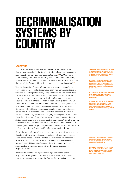### **DECRIMINALISATION SYSTEMS BY COUNTRY**

### **ARGENTINA**

In 2009, Argentina's Supreme Court issued its Arriola decision, declaring Argentinian legislation $^{20}$  that criminalised drug possession for personal consumption was unconstitutional. $^{21}$  The Court held: 'Criminalizing an individual [for drug use] is undeniably inhumane, subjecting the person to a criminal process that will stigmatize him for the rest of his life and subject him, in some cases, to prison time'. $^{22}$ 

Despite the Arriola Court's ruling that the arrest of five people for possession of three joints of marijuana each was an unconstitutional violation of their right to privacy and personal autonomy under Article 19 of the Argentinian Constitution, it has taken some time for the Argentinian executive and legislative branches to respond to the Court's decision and there has not yet been a change to the law. On 29 March 2012, a new bill which would decriminalize the possession of drugs for personal consumption was presented to Argentina's Congress.23 The bill does not propose threshold amounts but rather leaves it to the judiciary to decide, based on the facts, whether the drugs seized are for personal use. The proposed legislation would also allow the cultivation of cannabis for personal use. However, Senator Aníbal Fernández, who presented the bill, stated that 'when the amount exceeds the personal consumption we will impose penalties equal to manslaughter,' leaving open the possibility of serious disproportionality in the sentencing of those considered to be supplying drugs.

Currently, although many lower courts have begun applying the Arriola decision and throwing out cases involving small amounts of drugs, some police forces have not adjusted their enforcement practices. $24$ Approximately 70 per cent of all drug arrests involve possession for personal use.25 This tension between the enforcement and judicial branches has created an ambiguity in the implementation of Argentinian law.

Because the debate over legislative or regulatory changes to Argentina's drug policies is ongoing, there are not yet any effective metrics to assess the impact of the Court's decriminalisation ruling.

**20. THE EXISTING 1989 ARGENTINIAN DRUG LAWS ALLOW FOR CUSTODIAL SENTENCES FOR PERSONAL USE AND POSSESSION BETWEEN 1 MONTH AND 2 YEARS OR THE EQUIVALENT SENTENCE IN EDUCATION OR TREATMENT. SEE LAW 23.737, ARTICLE 14, SUBSECTION 2.**

**21. FERNÁNDEZ A. ARGENTINA: REFORM ON THE WAY? TRANSNATIONAL INSTITUTE SERIES ON LEGISLATIVE REFORM OF DRUG POLICIES NO 6. WASH TRANSNATIONAL INSTITUTE, 2010: P.1. (HTTP://WWW.TNI. ORG/SITES/WWW.TNI.ORG/FILES/DOWNLOAD/DLR6.PDF, ACCESSED 14 MAY 2012).**

**22. COZAC D. RULINGS IN ARGENTINIAN AND COLOMBIAN COURTS DECRIMINALIZE POSSESSION OF SMALL AMOUNTS OF NARCOTICS. HIV/AIDS POLICY & LAW REVIEW 2009;14(2).** 

**23. GLYNN A. SENATOR PRESENTS BILL TO DECRIMINALISE DRUGS. THE ARGENTINA INDEPENDENT 30 MARCH 2012 (HTTP://WWW.ARGENTINAINDEPENDENT.COM/ CURRENTAFFAIRS/NEWSFROMARGENTINA/SENATOR-PRESENTS-BILL-TO-DECRIMINALISE-DRUGS/, ACCESSED 14 MAY 2012).** 

**24. FERNÁNDEZ A. ARGENTINA: REFORM ON THE WAY? TRANSNATIONAL INSTITUTE SERIES ON LEGISLATIVE REFORM OF DRUG POLICIES NO 6. WASHINGTON, DC: TRANSNATIONAL INSTITUTE, 2010: P.8.**

**25. POLITI D. KIRCHNER FOR REEFERS? INTERNATIONAL HERALD TRIBUNE 9 FEBRUARY 2012 (HTTP://LATITUDE. BLOGS.NYTIMES.COM/2012/02/0 DRUG-USE-IN-ARGENTINA-IS-A-CORRECTION-TO-BAD-POLICY/, ACCESSED 14 MAY 2012**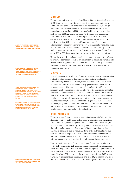**26. NATIONAL PROGRAMME ON COMBATING DRUG ADDICTION AND ILLICIT TRAFFIC IN NARCOTIC DRUGS IN THE REPUBLIC OF ARMENIA IN 2009–2012 [DRAFT]: P.12.** 

**27. ABRAHAMYAN G. DECRIMINALIZATION OF DRUG ABUSE ENCOURAGES MORE ADDICTS TO SEEK TREATMENT. ARMENIA NOW 24 JUNE 2011 (HTTP://WWW. ARMENIANOW.COM/NEWS/30615/ARMENIA\_DRUG\_ TRAFFICKING\_BORDER, ACCESSED 14 MAY 2012).**

**28. UNTIL 2011, THERE WERE FOUR DECRIMINALISED STATES. WESTERN AUSTRALIA REPEALED ITS DECRIMINALISATION POLICY IN JULY 2011. JONES L. TOUGH NEW CANNABIS LAWS FOR WA. SYDNEY MORNING HERALD JULY 17 2011 (HTTP://NEWS.SMH.COM.AU/ BREAKING-NEWS-NATIONAL/TOUGH-NEW-CANNABIS-LAWS-FOR-WA-20110717-1HJQ2.HTML, ACCESSED 14 MAY 2012).** 

**29. FOR DETAILED DISCUSSION, SEE: HUGHES C, RITTER A. A SUMMARY OF DIVERSION PROGRAMS FOR DRUG AND DRUG RELATED OFFENDERS IN AUSTRALIA. SYDNEY: NATIONAL DRUG AND ALCOHOL RESEARCH CENTRE, UNIVERSITY OF NEW SOUTH WALES, 2008.**

**30. CHRISTIE P, ALI R. OFFENCES UNDER THE CANNABIS EXPIATION NOTICE SCHEME IN SOUTH AUSTRALIA. DRUG AND ALCOHOL REVIEW 2000;19:255.**

#### **ARMENIA**

Throughout its history, as part of the Union of Soviet Socialist Republics (USSR) and for nearly two decades after it gained independence in 1990, Armenia enforced a 'zero tolerance' approach to illegal drugs, with harsh criminal sentences for use and possession. However, amendments to the law in 2008 have resulted in a significant policy shift. In May 2008, Armenia removed its drug use and possession statutes from its Criminal Code and replaced them with Article 44 of the Administrative Code, which provides that possession of small quantities of illegal drugs without intent to sell faces only administrative liability.<sup>26</sup> However, the level of fines set by the Armenian Government can result in a back door criminalisation of drug users, with those caught in possession of drugs for the first time facing fines set at 100 to 200 times the minimum wage, which many cannot pay.

Under the law, individuals who seek assistance or treatment in relation to drug use at medical facilities are exempt from administrative liability. Research has suggested that the decriminalisation of drug possession has led to a greater number of people who use drugs problematically accessing treatment.<sup>27</sup>

#### **AUSTRALIA**

Australia was an early adopter of decriminalisation and some Australian states have had cannabis decriminalisation policies in place for approximately 25 years. Currently, three Australian states have laws in place that decriminalise, in some way, possession and use – and in some cases, cultivation and gifts – of cannabis. $^{28}$  Significant research has been completed on the effects of the Australian cannabis decriminalisation policies.<sup>29</sup> The social science and scientific literature on the impact of decriminalisation on the prevalence of marijuana use is mixed – some studies suggest a statistically significant increase in cannabis consumption; others suggest no significant increase in use. However, all generally agree that decriminalisation has not resulted in the catastrophic explosion in cannabis consumption many predicted would happen as a result of decriminalisation.

#### **SOUTH AUSTRALIA**

With some modifications over the years, South Australia's Cannabis Expiation Notice (CEN) scheme has been in place in some form since 1987. Under this policy, the police issue a CEN to individuals caught in possession of marijuana (up to 100 grams of cannabis); this requires the individual to pay a civil fine (up to AU\$300 depending on the amount of cannabis found) within 28 days. If the individual pays the fine, no admission of guilt is recorded and there is no prosecution. If the individual contests the notice or fails to pay the fee, the matter is referred to court where investigation and prosecution commences.

Despite the intentions of South Australian officials, the introduction of the CEN scheme initially resulted in more prosecutions of cannabis users annually than in previous years, requiring policy adjustments after implementation. Because of the relative ease with which police officers could distribute CENs, early confusion among recipients of CENs as to payment requirements and methods, and inability to afford payment of the CENs, $30\,$  6000 CENs were issued in the first year of decriminalisation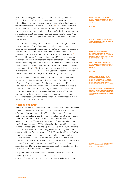(1987–1988) and approximately 17,000 were issued by 1993–1994.<sup>31</sup> The result was a higher number of cannabis users ending up in the criminal justice system, because most offenders who did not pay the fee ultimately received a criminal conviction.<sup>32</sup> The South Australian Government responded to these trends by changing the payment options to include payments by instalment, substitution of community service for payment, and making the CEN requirements clearer. This has resulted in increased payment and reduced numbers of criminal convictions.<sup>33</sup>

The literature on the impact of decriminalisation on the prevalence of cannabis use in South Australia is mixed; one study suggests decriminalisation resulted in an increase in the prevalence of cannabis smoking,<sup>34</sup> but most studies indicate there is no evidence of an increase in cannabis use that is attributable to the CEN scheme.<sup>35</sup> Thus, considering the literature balance, the CEN scheme does not appear to have had a significant impact on cannabis use, but it has resulted in keeping more individuals out of the criminal justice system and has saved the state government hundreds of thousands of dollars in enforcement costs.<sup>36</sup> Furthermore, interviews with South Australian law-enforcement leaders more than 10 years after decriminalisation revealed near-unanimous support for continuing the CEN policy.<sup>37</sup>

For non-cannabis offences, the South Australia Controlled Substances Act requires police to refer individuals accused of simple possession offences to Drug Assessment Panels overseen by the Health Commission.<sup>38</sup> The assessment team then examines the individual's situation and can refer them to a range of services. A prosecution for simple possession cannot proceed unless the referral has been terminated by the service, a person fails to comply, or a person chooses not to participate. Successful participation for 6 months results in the withdrawal of criminal charges.

#### **WESTERN AUSTRALIA**

Western Australia was the most recent Australian state to decriminalise cannabis possession. Beginning in 2004, police were able to issue a Cannabis Infringement Notice (CIN), similar to a South Australian CEN, to an individual when they had reason to believe the person had committed a minor cannabis offence. If an individual was found in possession of up to 30 grams of cannabis, or of paraphernalia or two non-hydroponic plants, a CIN was issued and the individual had the options of choosing to pay a fine (up to AU\$200), attending a Cannabis Education Session ('CES') with an approved treatment provider as determined by the Western Australia Chief Executive Officer of Health, or facing prosecution in court. There was no limit to the number of CINs an individual could receive. However, if an individual received more than two CINs within a 3-year period, they were no longer eligible to pay a fine and had to either attend a CES or go to court.<sup>39</sup> If an individual failed to pay a fine, they incurred a debt to the state but did not acquire a criminal record as a result.

The government of Western Australia was relatively successful in encouraging individuals to pay the fines associated with CINs and in avoiding the net-widening phenomena of other jurisdictions' notice

**31. SINGLE E, CHRISTIE P, ALI R. THE IMPACT OF CANNABIS DECRIMINALISATION IN AUSTRALIA AND THE UNITED STATES. JOURNAL OF PUBLIC HEALTH POLICY 2000;21(2):167.**

**32. IBID: P.168**

**33. CHRISTIE P, ALI R. OFFENCES UNDER THE CANNABIS EXPIRITION IN SOUTH AUSTRALIA. DRUG AND ALCOHOL REVIEW 2000;19:253.**

**34. DAMRONGPLASIT K, HSIAO C, ZHAO X. DECRIMINALIZATION AND MARIJUANA SMOKI PREVALENCE: EVIDENCE FROM AUSTRALIA. AMERICAN STATISTICAL ASSOCIATION JOURNAL OF BUSINESS AND ECONOMIC STATISTICS 2010;28(3):344–356.**

**35. SINGLE E, CHRISTIE P, ALI R. THE IMPACT OF CANNABIS DECRIMINALISATION IN AUSTRALIA AND THE UNITED STATES. JOURNAL OF PUBLIC HEALTH POLICY 2000;21(2):167.**

**36. IBID: P.167.**

**37. SUTTON A, MCMILLAN E. A REVIEW OF LAW ENFORCEMENT AND OTHER CRIMINAL JUSTICE ATTITUDES, POLICIES AND PRACTICES REGARDING ID CANNABIS LAWS IN SOUTH AUSTRALIA. CANBERRA: PUBLICATIONS PRODUCTION UNIT, DEPARTMENT OF HEALTH AND AGED CARE, 1999: P.VII–IX.**

**38. LEGAL SERVICES COMMISSION OF SOUTH AUSTRALIA. DIVERSIONARY SCHEMES. ADELAIDE: LEGAL SERVICES COMMISSION OF SOUTH AUSTRALIA, 1977 (HTTP://WWW. LAWHANDBOOK.SA.GOV.AU/CH10S07S10.PHP, ACCESSED 14 MAY 2012).**

**39. LENTON S, ALLSOP S. A TALE OF CIN – THE CANNABIS INFRINGEMENT NOTICE SCHEME IN WESTERN AUSTRALIA. ADDICTION 2010;105:810.**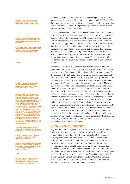**40. REUTER, PETER H , 'MARIJUANA LEGALIZATION:**  WHAT CAN BE LEARNED FROM OTHER COUNTRIES? **RAND DRUG POLICY RESEARCH CENTER, P. 9 (2010).**

**41. HYSHKA E. TURNING FAILURE INTO SUCCESS: WHAT DOES THE CASE OF WESTERN AUSTRALIA TELL US ABOUT CANADIAN CANNABIS POLICY-MAKING? POLICY STUDIES 2009;30(5):519.**

**42. FETHERSTON J, LENTON S. EFFECTS OF THE WESTERN AUSTRALIAN CANNABIS INFRINGEMENT NOTICE SCHEME ON PUBLIC ATTITUDES, KNOWLEDGE, AND USE. PERTH: NATIONAL DRUG RESEARCH INSTITUTE, 2007: PIX.** 

**43. IBID: P.43.**

**44. TOUGH NEW CANNABIS LAWS AS USAGE SOARS. ABC NEWS 27 JULY 2011 (HTTP://WWW.ABC.NET. NEWS/2011–07–27/WA-TOUGH-NEW-CANNABIS-LAWS/2812558, ACCESSED 14 MAY 2012).**

**45. AUSTRALIAN INSTITUTE OF HEALTH AND WELFARE. 2010 NATIONAL DRUG STRATEGY HOUSEHOLD SURVEY REPORT. JULY 2011, DRUG STATISTICS SERIES NO. 25. CANBERRA: AUSTRALIAN INSTITUTE OF HEALTH AND WELFARE, 2011 – FOR ALL OF AUSTRALIA: RECENT USE OF CANNABIS INCREASED (FROM 9.1% IN 2007 TO 10.3%), BUT HAS DECLINED IN THE LONGER TERM (FROM 12.7% IN 1993). FOR WESTERN AUSTRALIA, THERE WAS AN 8.9% DECREASE IN RECENT USE OF CANNABIS BETWEEN 1998 AND 2010, WITH THE PREVALENCE RATE IN 2010 BEING 13.4%. COMPARED TO OTHER STATES SUCH AS NEW SOUTH WALES, VICTORIA OR QUEENSLAND (WHERE PERSONAL USE IS STILL CRIMINALISED), THERE IS NO SIGNIFICANT DIFFERENCE IN PERCENTAGE OF USAGE, IN FACT ALL STATES SHOW A SIMILAR TREND IN USAGE REGARDLESS OF THE ENFORCEMENT IN PLACE. MOST INTERESTINGLY, USAGE LEVELS IN THE NORTHERN RITORY HAD THE GREATEST DECREASE IN USE WITH THAT PERIOD (20%), ALBEIT THEY ALSO HAD THE HIGHEST USAGE RATES OF ALL THE STATES.**

**46. CANNABIS LAW REFORM ACT 2010, DIVISION 3, IN 8J. (HTTP://WWW.AUSTLII.EDU.AU/AU/ NUM\_ACT/CLRA201045O2010224/, ACCESSED 20 MAY 2012)**

**47. LENTON S, ALLSOP S. A TALE OF CIN – THE CANNABIS INFRINGEMENT NOTICE SCHEME IN WESTERN AUSTRALIA. ADDICTION 2010;105:812.**

**48. NATIONAL CANNABIS PREVENTION AND INFORMATION CENTRE (NCPIC). CANNABIS AND THE LAW. RANDWICK: NCPIC, 2011 (HTTP://NCPIC.ORG.AU/NCPIC/PUBLICATIONS/ FACTSHEETS/ARTICLE/CANNABIS-AND-THE-LAW, ACCESSED 14 MAY 2012).**

**49. IBID.**

**50. MCLAREN J, MATTICK RP. CANNABIS IN AUSTRALIA: USE, SUPPLY, HARMS, AND RESPONSES. SYDNE NATIONAL DRUG AND ALCOHOL RESEARCH CENTRE UNIVERSITY OF NEW SOUTH WALES, 2007: P.57.**

schemes by using the threat of driver's license suspensions to compel payment, resulting in over 75 per cent compliance with CIN fines.<sup>40</sup> The State government was also able to avoid the net-widening problem that South Australia faced in part by processing CINs at the police station, rather than issuing them in the field.

The CIN policy also resulted in a perceived decline in the prevalence of cannabis use: the number who reported using cannabis in the past year decreased from 19 per cent in 2002 to 12 per cent in 2007.<sup>41</sup> Reported lifetime cannabis use also declined from 54 per cent in 2002 to 46 per cent in 2007.42 Opponents of decriminalisation of cannabis often argue that decriminalisation would make cannabis more widely available and lead to increased use of other drugs. Yet one study demonstrated that after the CIN scheme was implemented, 5 per cent of Western Australian residents reported an increase in their use of non-cannabis drugs, 9 per cent reported a decrease in use of other drugs and 82 per cent reported no change or a decline in their use of non-cannabis  $druas.<sup>43</sup>$ 

Following the election of the centre-right Liberal party in 2008, the government eliminated the CIN scheme in Western Australia. The new law came into effect in August 2011. Seemingly ignoring evidence of the success of the CIN policy, the government changed the threshold limit for a minor cannabis offence from 30 grams to 10 grams. One of the arguments put forward by the state government for the change in law was a perceived increase in cannabis use within the state.<sup>44</sup> However, data reveal there has been a decrease in levels of cannabis use within Western Australia during the period of decriminalisation, and that trends in prevalence rates are similar throughout the states, regardless of the law-enforcement model in place.<sup>45</sup> The new policy has resulted in a greater number of people being prosecuted for cannabis possession. Those caught in possession of less than 10 grams for the first offence no longer receive a civil response but are issued a cannabis caution. They are then required to attend a Cannabis Intervention Session (CIS), which explains the 'adverse health & social consequences of cannabis use'46 and the laws relating to cannabis. Failure to attend results in a conviction for the offence and a criminal record.<sup>47</sup> Further offences receive stricter penalties, including custodial sentences.<sup>48</sup> Furthermore, cultivating a small number of cannabis plants will be treated as a criminal offence in the first instance.

#### **AUSTRALIAN CAPITAL TERRITORY**

Beginning in 1993, the police in the Australian Capital Territory have had the authority to issue an individual found with up to 25 grams of cannabis a Simple Cannabis Offence Notice (SCON), instead of charging them with a criminal offence.<sup>49</sup> A SCON requires payment of an AU\$100 fine within 60 days. Failure to pay the fine may trigger further sanctions, such as mandatory attendance at a treatment programme. If paid within 60 days, no criminal charge is recorded. However, a police officer may instead choose to refer the individual to criminal prosecution instead of granting a SCON, if the offence appears to be for sale, and not personal possession. Since 2002, the option of diversion into treatment was added to the law. Under this scheme, in lieu of paying a fine, an individual can be assessed and referred to treatment or education up to two times if necessary. $50$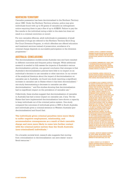#### **NORTHERN TERRITORY**

Cannabis possession has been decriminalised in the Northern Territory since 1996. Under the Northern Territory scheme, police may give individuals found with up to 50 grams of cannabis an infringement notice requiring them to pay a fine of up to AU\$200. Failure to pay the fine results in the individual owing a debt to the state but does not result in a criminal conviction or record.

For non-cannabis offences, adult individuals in possession of small quantities of drugs are referred to the Northern Territory Illicit Drug Pre-Court Diversion Program, in which offenders are offered education and treatment services instead of prosecution; avoidance of a criminal charge depends on successful participation in the diversion programme.<sup>5</sup>

### **AUSTRALIA: CONCLUSIONS**

The decriminalisation models across Australia vary and have resulted in different outcomes and frequent policy changes. While additional research is needed to fully assess the impacts of Australia's various decriminalisation policies, one general conclusion that emerges is that Australia's decriminalisation policies have little to no impact on an individual's decision to use cannabis or other narcotics. In our review of the analytical literature about the impact of decriminalisation on cannabis use in Australia, we found one study reporting a significant increase in cannabis use in States where it has been decriminalised, $52$ one study demonstrating a decrease in cannabis use after  $\alpha$  decriminalisation.<sup>53</sup> and five studies showing that decriminalisation had no significant impact on the prevalence of cannabis use. $54$ 

Collectively, these studies suggest that decriminalisation of cannabis in Australia has had a minor impact on cannabis use, if any. Yet the States that have implemented decriminalisation have shown a capacity to keep individuals out of the criminal justice system. One study compared the outcomes of individuals given a CEN in South Australia and individuals given a criminal sentence in Western Australia (predecriminalisation) and found that:

**The individuals given criminal penalties were more likely to suffer negative employment, relationship, and accommodation consequences as a result of their cannabis charge and were more likely to come into further contact with the criminal justice system than the South Australia (non-criminalised) individuals.**<sup>55</sup>

On a broader societal level, research also suggests that moving from criminalisation to decriminalisation can save states' scarce fiscal resources.<sup>56</sup>

**51. HUGHES C, RITTER A. A SUMMARY OF DIVERSION PROGRAMS FOR DRUG AND DRUG RELATED OFFENDERS IN AUSTRALIA. SYDNEY: NATIONAL DRUG AND ALCOHOL RESEARCH CENTRE, UNIVERSITY OF NEW SOUTH WALES, 2008: P.52.**

**52. SEE GENERALLY, DAMRONGPLASIT K, HSIAO C, ZHAO X. DECRIMINALIZATION AND MARIJUANA SMOKING PREVALENCE: EVIDENCE FROM AUSTRALIA. AMERICAN STATISTICAL ASSOCIATION JOURNAL OF BUSINESS AND ECONOMIC STATISTICS 2010;28(3):344–356.**

**53. SEE FETHERSTON J, LENTON S. EFFECTS OF THE WESTERN AUSTRALIAN CANNABIS INFRINGEMENT NOTICE SCHEME ON PUBLIC ATTITUDES, KNOWLEDGE, AND USE PERTH: NATIONAL DRUG RESEARCH INSTITUTE, 2007: P.54.**

**54. SEE DONNELLY N, HALL W, CHRISTIE P. EFFECTS OF THE CANNABIS EXPIATION NOTICE SCHEME ON LEVEL AND PATTERNS OF CANNABIS USE IN SOUTH AUSTRALIA: EVIDENCE FROM THE NATIONAL DRUG STRATEGY HOUSEHOLD SURVEYS 1985–1995. PARKSIDE: DRUG AND ALCOHOL SERVICES COUNCIL, SOUTH AUSTRALIA, 2009; LENTON S, CHRISTIE P, HUMENIUK R ET AL. INFRINGEMENT VERSUS CONVICTION: THE SOCIAL IMPACT OF A MINOR CANNABIS OFFENCE UNDER A CIVIL**<br>**DENAITIES SYSTEM AND STRICT PROHIBITION IN TWO PENALTIES SYSTEM AND STRICT PR AUSTRALIAN STATES. PARKSIDE: DRUG AND ALCOHOL SERVICES COUNCIL, SOUTH AUSTRALIA, 1999; LENTON S. CANNABIS POLICY AND THE BURDEN OF PROOF: IS IT NOW BEYOND REASONABLE DOUBT THAT CANNABIS PROHIBITION IS NOT WORKING?,' DRUG AND ALCOHOL REVIEW 2000;19(1):95–100; SINGLE E, CHRISTIE P, ALI R. THE IMPACT OF CANNABIS DECRIMINALISATION IN AUSTRALIA AND THE UNITED STATES. JOURNAL OF PUBLIC HEALTH POLICY 2000;21(2):157–186; ANNE LINN BRETTVILLE-JENSON AL, WILLIAMS J. DECRIMINALIZATION AND INITIATION INTO CANNABIS USE. MELBOURNE: UNIVERSITY OF MELBO 2011 (HTTP://WWW.ECONOMICS.UNIMELB.EDU.AU/ MICROECO/DOWNLOADS/DECRIMINALIZATION%20 AND%20INITIATION%20INTO%20CANNABIS%20USE.PDF, AND ACCESSED 14 MAY 2012). ALTHO AN IMPACT ON OVERALL USE, BRETTVILLE-JENSON AND WILLIAMS DO SUGGEST THAT THE AGE OF INITIATION INTO CANNABIS USE WAS LOWER IN THOSE STATES THAT HAD DECRIMINALISED CANNABIS, ALTHOUGH NO CAUSAL LINK IS ESTABLISHED.**

**55. MCLAREN J, MATTICK RP. CANNABIS IN AUSTRALIA: USE, SUPPLY, HARMS, AND RESPONSES. SYDNEY: NATIONAL DRUG AND ALCOHOL RESEARCH CENTRE, UNIVERSITY OF NEW SOUTH WALES, 2007: P.560.**

**56. SINGLE E, CHRISTIE P, ALI R. THE IMPACT OF CANNABIS DECRIMINALISATION IN AUSTRALIA AND THE UNITED STATES. JOURNAL OF PUBLIC HEALTH POLICY 2000;21(2):167.**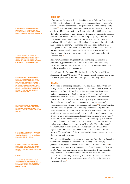**57. EMCDDA. BELGIUM COUNTRY PROFILE. LISBON: EMCDDA, 2011 (HTTP://WWW.EMCDDA.EUROPA.EU/ HTML.CFM/INDEX5174EN.HTML?PLUGINMETHOD=ELDD. COUNTRYPROFILES&COUNTRY=BE, ACCESSED 14 MAY 2012).** 

**58. SLEIMAN, ED., BELGIAN NATIONAL REPORT ON DRUGS 2005. IPH/EPI REPORTS NR 2005-012. BRUSSELS: SCIENTIFIC INSTITUTE OF PUBLIC HEALTH UNIT OF EPIDEMIOLOGY, 2005: PP.14–15 (HTTP://USERS.SKYNET.BE/ APPEL/TELECH/ISP\_4.PDF, ACCESSED 14 MAY 2012).**

**59. EMCDDA. TABLE GPS-1: LIFETIME PREVALENCE OF DRUG USE BY AGE AND COUNTRY, MOST RECENT NATIONAL GENERAL POPULATION SURVEY AVAILABLE SINCE 2000. LISBON: EMCDDA, 2011 (HTTP://WWW. EMCDDA EUROPA EU/STATS11/GPSTAB1B, ACCESSED 14 MAY 2012) – ALTHOUGH IT SHOULD BE NOTED THAT A VARIETY OF FACTORS CAN RESULT IN DIFFERENT LEVELS OF USE AND THERE IS NO EVIDENCE TO SHOW THAT THE DIFFERING NATIONAL POLICY RESPONSES DIRECTLY IMPACT ON PREVALENCE RATES.**

**60. TORRES R, HENRIQUE J. DRUG POLICY AND THE COURTS: A BRAZILIAN EXPERIENCE. TRANSNATIONAL INSTITUTE SERIES ON LEGISLATIVE REFORM OF DRUG POLICIES NR. 2. AMSTERDAM: TRANSNATIONAL INSTITUTE, 2009: PP.2–3.**

**61. PRESIDÊNCIA DA REPÚBLICA. CASA CIVIL SUBCHEFIA PARA ASSUNTOS JURÍDICOS. LEI N. 11.343, 2006 (HTTP:// WWW.PLANALTO.GOV.BR/CCIVIL\_03/\_ATO2004-2006/2006/ LEI/L11343.HTM, ACCESSED 14 MAY 2012).**

**62. TORRES R, HENRIQUE J. DRUG POLICY AND THE COURTS: A BRAZILIAN EXPERIENCE. TRANSNATIONAL INSTITUTE SERIES ON LEGISLATIVE REFORM OF DRUG POLICIES NR. 2. AMSTERDAM: TRANSNATIONAL INSTITUTE, 2009: PP.2–3.**

**63. IBID: P.1.**

**64. JELSMA M. DRUG LAW REFORM TREND IN LATIN AMERICA. AMSTERDAM: TRANSNATIONAL INSTITUTE, 2009: P.3 (HTTP://WWW.AKZEPT.ORG/PDF/VOLLTEXTE\_PDF/ NR23/DROGENPO\_INTER/TNITRENDS\_LATAM0110.PDF ACCESSED 14 MAY 2012).**

#### **BELGIUM**

After internal debates within political factions in Belgium, laws passed in 2003 created a legal distinction between possession of cannabis for personal use and other types of drug offences, creating a civil penalty system.<sup>57</sup> The laws were amended and supplemented by a Minister of Justice and Prosecutors-General directive issued in 2005, instructing that adult individuals found with under 3 grams of cannabis for personal use would be issued a 'Process-Verbal Simplifé' (PVS) or 'simple record'. There is no penalty associated with the PVS, nor is the cannabis confiscated from the individual. The police officer sends the individual's name, location, quantity of cannabis, and other basic details to the local police station, where notes are summarised and sent to the local prosecutor on a monthly basis for statistical purposes. Individuals' details are not, however, kept in any database and no punishment is administered.<sup>58</sup>

If aggravating factors are present (i.e., cannabis possession in a penitentiary, possession with a minor, etc.) or non-cannabis drugs are found, more serious penalties, including custodial sentences, are available to police and prosecutors.

According to the European Monitoring Centre for Drugs and Drug Addiction (EMCDDA), as of 2008, the prevalence of cannabis use in the UK was approximately 114 per cent higher than in Belgium.<sup>59</sup>

#### **BRAZIL**

Possession of drugs for personal use was depenalised in 2006 as part of major revisions to Brazil's drug laws. If an individual is arrested for possession of illegal drugs, the criminal justice authorities (including police, prosecutors and, finally, a judge) will look at a number of factors to determine whether the drugs were intended for personal consumption, including the nature and quantity of the substance, the conditions in which possession occurred, and the personal circumstances and history of the accused individual. $60$  If the authorities determine the drugs were intended for personal consumption, the offender is subject to a warning about the effects of drugs, community service requirements, and attendance at an educational course about drugs. For up to three instances of recidivism, the individual is subject to community service and educational courses lasting up to 5 months. On a fourth instance, the individual is subject to community service and educational courses lasting up to 10 months. If the educational programme is not complied with, a judge may issue a fine of the equivalent of between £16 and £40 – the current national minimum wage is  $£0.90$  per hour.<sup>61</sup> This process is administered entirely within the criminal justice system.

While the 2006 legislation removes incarceration from the list of possible penalties for possession, for many legal professionals and judges, possession for personal use is still considered a criminal offence.<sup>62</sup> In 2008, a judge of the Sixth Appellate Court of the High Court of Justice in São Paulo ruled that Brazil's legislation regarding drug possession for personal use was in violation of Section 5 of Brazil's Federal Constitution.<sup>63</sup> Although the ruling appears not to have been followed throughout the country, the debate over further decriminalisation is ongoing in Brazil.<sup>64</sup>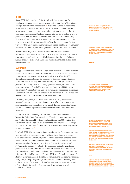#### **CHILE**

Since 2007, individuals in Chile found with drugs intended for 'exclusive personal use or consumption in the near future' have been exempt from criminal prosecution. $65$  It is up to a judge to determine whether the drugs were intended for private use or consumption when the evidence does not provide for a rational inference that it was for such purposes. The legal burden falls on the arrestee to prove possession was for personal use and not for distribution or sharing. However, if the individual is arrested for use or possession in public or in private and it is determined that 'they have assembled for that purpose,' the judge may administer fines, forced treatment, community service requirements, and/or suspension of his or her driver's licence.<sup>66</sup>

Although the majority of cases terminate in the suspension of sentences or administrative sanctions, many people caught with small quantities do end up in prison. Chile is assessing the possibility of further changes to its laws, including full decriminalisation and drug reclassification.<sup>67</sup>

#### **COLOMBIA**

Drug possession for personal use has been decriminalised in Colombia since the Colombian Constitutional Court ruled in 1994 that penalties for possession of a personal dose violated Article 49 of the 1991 Constitution guaranteeing the freedom of decision-making to affect one's own health as long as it does not impact the rights of third parties.68 Following the Court ruling, possession of quantities under certain maximum thresholds was not prohibited until 2009, when Colombian President Álvaro Uribe's government succeeded in passing a constitutional amendment to restore a prohibition model – Uribe had been campaigning for this since his election in 2002.

Following the passage of the amendment in 2009, possession for personal use and consumption became unlawful but the sanctions for possession for personal use were largely limited to administrative sentences, including referrals to various treatment and prevention services.

In August 2011, a challenge to the 2009 amendment was heard before the Colombian Supreme Court. The Court ruled that the new law 'violated personal freedoms' and reaffirmed the 1994 ruling that Colombian citizens has a right to carry the 'minimum dose' of drugs as outlined in that case. $69$  The minimum dose is defined as 20 grams of cannabis or cocaine.<sup>70</sup>

In March 2012, Colombian media reported that the Santos government was preparing to introduce a new National Drug Statute to comply with the Supreme Court ruling which would establish 'personal dose' thresholds below which possession would be decriminalised – these were reported as 5 grams for marijuana, 1 gram for cocaine, and 200 grams for ecstasy. $71$  Notably, the proposed legislation excluded possession of heroin from the list of decriminalised substances and also raised the possibility of low-level users possessing more than the minimum threshold amounts.72 In May 2012, the Colombian House of Representatives passed a draft bill decriminalising the growing of coca, marijuana, and opium poppy plants.73 While Colombia has long been a global centre of the 'war on drugs,' recent months have witnessed a flurry of activity moving the country's drug policies towards decriminalisation.

**65. LAW 20.000, ARTICLE 4, 2007, LIBRARY OF THE NATIONAL CONGRESS OF CHILE (HTTP://WWW.LEYCHILE. CL/NAVEGAR?IDNORMA=235507&BUSCAR=LEY+20.000, ACCESSED 14 MAY 2012).**

**66. JELSMA M. DRUG LAW REFORM TREND IN LATIN AMERICA. AMSTERDAM: TRANSNATIONAL INSTITUTE, 2009: P.5–6 (HTTP://WWW.AKZEPT.ORG/PDF/VOLLTEXTE\_PDF/ NR23/DROGENPO\_INTER/TNITRENDS\_LATAM0110.PDF, ACCESSED 14 MAY 2012).**

**67. IBID: P.6.**

**68. GUZMÁN DE, YEPES RU. PROHIBITION, A BACKWARDS STEP: THE PERSONAL DOSE IN COLOMBIA. TRANSNATIONAL INSTITUTE SERIES ON LEGISLATIVE REFORM ON DRUG POLICIES NR. 4. AMSTERDAM: TRANSNATIONAL INSTITUTE, 2010: P.3.**

**69. PACHIO E. COLOMBIA TAKES STEP TOWARDS DECRIMINALISATION. INSIGHT 25 AUGUST 2011 (HTTP://INSIGHTCRIME.ORG/INSIGHT-LATEST-NEWS/ ITEM/1465-COLOMBIA-TAKES-STEP-TOWARDS-DRUG-DECRIMINALIZATION, ACCESSED 14 MAY 2012).**

**70. CORTE SUPREMA DEFIENDE EL PORTE DE DOSIS MINIMA DE DROGA. EL TIEMPO 24 AUGUST 2011 (HTTP:// WWW.FITIFMPO.COM/JUSTICIA/ARTICULO-WEB-NEW\_NOTA\_INTERIOR-10219935.HTML, ACCESSED 14 MAY 2012) – THE DOSE IS NOT THE ONLY FACTOR THE COURT CAN LOOK AT WHEN CONSIDERING IF DRUGS ARE FOR PERSONAL USE.**

**71. PACHECO D. REVIVE PULSO POR LA DOSS PERSONAL. EL ESPECTADOR 13 MARCH 2012 (HTTP://WWW. ELESPECTADOR.COM/IMPRESO/TEMADELDIA/ARTICULO-332022-REVIVE-PULSO-DOSIS-PERSONAL, ACCESSED 14 MAY 2012).**

**72. IBID.**

**73. COLOMBIA PASSES 1ST DRAFT OF DRUG CROP LEGALIZATION BILL. COLOMBIA REPORTS 9 MAY 2012 (HTTP://COLOMBIAREPORTS.COM/COLOMBIA-NEWS/ NEWS/23958-COLOMBIA-PASSES-FIRST-DRAFT-OF-DRUG-CROP-LEGALIZATION-BILL-.HTML, ACCESSED 15 MAY 2012).**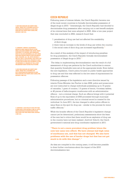**74. NEW DRUG GUIDELINES ARE EUROPE'S MOST LIBERAL. PRAGUE POST 23 DECEMBER 2009 (HTTP:// WWW.PRAGUEPOST.COM/NEWS/3194-NEW-DRUG-GUIDELINES-ARE-EUROPES-MOST-LIBERAL.HTML, ACCESSED 14 MAY 2012).**

**75. ZABRANSKY T, MRAVCIK V, GAJDOSIKOVA H, MIOVSKÙ M. IMPACT ANALYSIS PROJECT OF NEW DRUGS LEGISLATION SUMMARY FINAL REPORT. PRAGUE: SECRETARIAT OF THE NATIONAL DRUG COMMISSION OFFICE OF THE CZECH GOVERNMENT, 2001 (HTTP://WWW. DRUGLAWREFORM.INFO/IMAGES/STORIES/DOCUMENTS/ CZECH\_EVALUATION\_2001\_PAD\_EN.PDF, ACCESSED 14 MAY 2012); PAVEL B. CZECH REPUBLIC: CASE STUDY IN THE LIBERALISATION OF DRUG POLICY, PRESENTED AT HOUSE OF LORDS EVENT ON DRUG POLICY REFORM ON 17TH AND 18TH NOVEMBER 2011 ORGANISED BY THE ALL PARTY PARLIAMENTARY GROUP ON DRUG POLICY REFORM.**

**76. NEW DRUG GUIDELINES ARE EUROPE'S MOST LIBERAL. PRAGUE POST 23 DECEMBER 2009 (HTTP://WWW.PRAGUEPOST.COM/NEWS/3194-NEW-DRUG-GUIDELINES-ARE-EUROPES-MOST-LIBERAL.HTML, ACCESSED 14 MAY 2012).**

**77. JOHNSTONE C. CZECH POLICE TO ISSUE SPOT FINES TO DRUG USERS. CZECH POSITION 23 JUNE 2011 (HTTP://** WWW.CESKAPOZICE.CZ/EN/NEWS/SOCIETY/CZE **POLICE-ISSUE-SPOT-FINES-DRUGS-USERS, ACCESSED 14 MAY 2012).**

**78. IBID.**

### **CZECH REPUBLIC**

Following years of intense debate, the Czech Republic became one of the most recent countries to formally decriminalise possession of illegal drugs in  $2010$ .<sup>74</sup> Interestingly, the Czech Republic had decided to decriminalise drug possession after carrying out a cost-benefit analysis of its criminal laws that were adopted in 2000. After a two-year project that was concluded in 2002, research found that:

- 1. penalisation of drug use had not affected the availability of illicit drugs;
- 2. there was an increase in the levels of drug use within the country;
- 3. the social costs of illicit drug use increased significantly.<sup>75</sup>

As a result of this analysis of the impact of introducing penalties for drug possession, the Czech Republic formally decriminalised possession of illegal drugs in 2010. $\frac{76}{6}$ 

 The delay in implementing decriminalisation was the result of a full assessment of drug-use patterns by the Czech authorities to ensure that quantity thresholds were set at the appropriate levels. Even before the new legislation, Czech policy focused on public health approaches to drug use and this was reflected in the low rates of imprisonment for possession offences.

Following passage of the legislation and a new directive issued by interim Prime Minister Jan Fischer in late 2009, police and prosecutors are now instructed to charge individuals possessing up to 15 grams of cannabis, 1 gram of cocaine, 1.5 grams of heroin, 4 ecstasy tablets, or 40 pieces of hallucinogenic mushrooms with an administrative offence – not a criminal charge. Such an offence brings with it potential fines of up to the equivalent of £550 processed through municipal administrative procedures, but no criminal record is created for the individual. In June 2011, the law changed to allow police officers to issue fines on the spot for drug use – similar to the process for minor traffic offences. $77$ 

While the broader effects of the Czech Republic's legislative change cannot yet be determined, preliminary assessments show the fears of the new law's critics that there would be an explosion of drug use in the country have not been realised. Jindřich Vobořil, the Czech government's national anti-drug coordinator explained in 2011:

**"There is not a more prevalent drug problem [since the new law came into effect]. We have always had high rates of marihuana use, and that has not changed. We also have problems with the use of harder drugs but that has not got much to do with this change".**<sup>78</sup>

As data are compiled in the coming years, it will become possible to draw further conclusions about the impact of the 2010 decriminalisation law.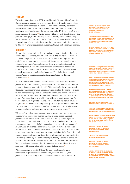#### **ESTONIA**

Following amendments in 2002 to the Narcotic Drug and Psychotropic Substance Act, possession of small quantities of drugs for personal use has been decriminalised in Estonia.<sup>79</sup> The 'small quantity' standard is one determined by judicial precedent or expert court opinions in a particular case, but is generally considered to be 10 times a single dose for an average drug user. $80$  While police still arrest individuals found with prohibited drugs, under the law, courts or 'extra-judicial bodies' may issue a sentence. This can include a fine of up to the equivalent of £685 or a sentence of administrative detention (non-prison detention) for up to 30 days.<sup>81</sup> This is considered an administrative, not a criminal offence.

#### **GERMANY**

German law has contained decriminalisation elements since the early 1990s. At a federal level, the amendments to the federal Narcotics Act in 1992 gave prosecutors the discretion to decide not to prosecute an individual for cannabis possession if the prosecutor considers the offence to be 'minor' and determines there is 'no public interest' in criminal prosecution. $82$  The determination of whether a possession offence is minor largely depends on whether an individual possesses a 'small amount' of prohibited substances. The definition of 'small amount' ranges in different länder (German states) for different substances.<sup>83,84</sup>

In 1994, the German Federal Constitutional Court ruled that criminal penalties for individuals for possession or importation of small amounts of cannabis were unconstitutional.<sup>85</sup> Different länder have interpreted this ruling in different ways. Some have interpreted the ruling to extend to non-cannabis drugs as well. Since the ruling, the länder and even some municipalities have set their own threshold definitions of a 'small amount' of narcotics, below which individuals are not prosecuted for possession. With regard to cannabis, these limits vary from 6 grams to 15 grams; $86$  for cocaine the range is 1 gram to 3 grams. Some länder do not have statutory threshold limits but instead look to judicial precedent to establish limits on these and a wide range of other drugs. $87$ 

While the law only grants prosecutors the authority to not prosecute an individual possessing a small amount of illicit drugs, in practice, police in some länder often refrain from proactively arresting such individuals or reactively responding to complaints about such minor drug possession, particularly in cases involving cannabis or ecstasy.<sup>88</sup> In Germany, problematic drug users who have received a custodial sentence of 2 years or less are eligible for diversion to treatment instead of imprisonment; incarceration may be cancelled entirely if an individual demonstrates continued participation in a treatment programme for the duration specified by the administering authority. Failure to participate successfully can result in execution of the original custodial sentence.<sup>89</sup> Reports indicate, however, that, in practice, many problematic users face coerced therapy followed by a custodial sentence.<sup>90</sup>

While according to the EMCDDA Germany continues to have moderately high rates of use of cannabis, cocaine and LSD, the prevalence of use among adults is significantly below that of the UK.<sup>91</sup>

**79. EMCDDA. COUNTRY LEGAL PROFILE – ESTONIA (HTTP://WWW.EMCDDA.EUROPA.EU/HTML.CFM/ INDEX5174EN.HTML?PLUGINMETHOD=ELDD. COUNTRYPROFILES&COUNTRY=EE#, ACCESSED 14 MAY 2012).**

**80. EUROPEAN MONITORING CENTRE FOR DRUGS AND DRUG ADDICTION (EMCDDA) THRESHOLD QUANTITIES FOR DRUG OFFENCES. LISBON: EMCDDA, 2010 (HTTP://WWW. EMCDDA.EUROPA.EU/HTML.CFM/INDEX99321EN.HTML, ACCESSED 1 MAY 2012).**

**81. EMCDDA. THE STATE OF THE DRUGS PROBLEM IN THE ACCEDING AND CANDIDATE COUNTRIES TO THE EUROPEAN UNION LISBON: EMCDDA, 2003 (HTTP://CANDIDATES2003. EMCDDA.EUROPA.EU/DOWNLOAD/CANDIDATES\_AR2003- EN.PDF, ACCESSED 14 MAY 2012).**

**82. NARCOTIC DRUGS ACT (BETÄUBUNGSMITTELGESETZ) OF 1981 SEC. 31A (AS AMENDED 18 DECEMBER 2009) (HTTP:// WWW.EMCDDA.EUROPA.EU/HTML.CFM/INDEX5173EN. HTML?PLUGINMETHOD=ELDD.SHOWLEGALTEXTDETAIL&ID= 677&LANG=EN&T=2, ACCESSED 14 MAY 2012).** 

**83. MAX PLANCK INSTITUTE FOR FOREIGN AND CRIMINAL LAW. CANNABIS NON-PROSECUTION POLICIES IN GERI FREIBURG: MAX PLANCK INSTITUTE FOR FORFIGN AND CRIMINAL LAW, 2011) (HTTP://WWW.MPICC.DE/WW**<br>PIR/EDRSCHUNG/EDRSCHUNGSARREIT/KRIMINOL **PUB/FORSCHUNG/FORSCHUNGSARBEIT/KRIMINOLOGIE/ ARCHIV/CANNABIS.HTM, ACCESSED 14 MAY 2012).**

**84. FOR THE DIFFERENT THRESHOLDS PLEASE SEE**  ww.drug-infopool.de/gesetz/nord **WESTFALEN.HTML, ACCESSED 14 MAY 2012) – IT WOULD APPEAR THAT THE MORE CONSERVATIVE LÄN THE SOUTH OF THE COUNTRY TAKE A MORE RESTRICTIVE APPROACH THAN LOCAL GOVERNMENTS IN THE NORTH.**

**85. DECISION OF GERMAN FEDERAL CONSTITUTIONAL COURT, SECOND SENATE, 9 MARCH 1994, BVERFGE 90, 145.**

**86. BERLIN SET TO RELAX CANNABIS LAWS. DER SPIEGEL 18 MAY 2010 (HTTP://WWW.SPIEGEL.DE/INTERNATIONAL/ GERMANY/0,1518,695215,00.HTML, ACCESSED 14 MAY 2012).**

**87. EMCDDA. EUROPEAN MONITORING CENTRE FOR DRUGS AND DRUG ADDICTION (EMCDDA) THRESHOLD QUANTITIES FOR DRUG OFFENCES. LISBON: EMCDDA, 2010 (HTTP:// WWW.EMCDDA.EUROPA.EU/HTML.CFM/INDEX99321EN. HTML, ACCESSED 1 MAY 2012).**

**88. BÖLLINGER L. DRUG LAW AND POLICY IN GERMANY AND THE EUROPEAN COMMUNITY: RECENT DEVELOPMENTS. JOURNAL OF DRUG ISSUES 2004; 34(3):499.**

**89. ACT ON THE TRADE IN NARCOTIC DRUGS SEC. 35 (AS AMENDED 18 DEC. 2009).**

**90. BÖLLINGER L. DRUG LAW AND POLICY IN GERMANY AND THE EUROPEAN COMMUNITY: RECENT DEVELOPMENTS. JOURNAL OF DRUG ISSUES 2004; 34(3):492.**

**91. EMCDDA. LIFETIME PREVALENCE OF DRUG USE BY AGE AND COUNTRY, MOST RECENT NATIONAL GENERAL POPULATION SURVEY AVAILABLE SINCE 2000. LISBON: EMCDDA, 2011 (HTTP://WWW.EMCDDA.EUROPA.EU/STATS11/ GPSTAB1B, ACCESSED 14 MAY 2012).**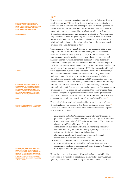**92. SOLVETTI LM. DRUG USE CRIMINALIZATION V DECRIMINALIZATION: AN ANALYSIS IN LIGHT OF THE ITALIAN EXPERIENCE, REPORT PREPARED FOR THE SWISS FEDERAL OFFICE OF PUBLIC HEALTH. BERN: SWISS FEDERAL OFFICE OF PUBLIC HEALTH, 2001: P.32.**

**93. SEE GENERALLY IBID.**

**94. IBID: P.40.**

**95. ZUFFA G. HOW TO DETERMINE PERSONAL USE IN DRUG LEGISLATION: THE 'THRESHOLD CONTROVERSY' IN THE LIGHT OF THE ITALIAN EXPERIENCE. TRANSNATI INSTITUTE SERIES ON LEGISLATIVE REFORM OF DRUG LAWS NR. 15. AMSTERDAM: TRANSNATIONAL INSTITUTE 2011: P.4 (HTTP://WWW.TNI.ORG/SITES/WWW.TNI.ORG/ FILES/DOWNLOAD/DLR15.PDF, ACCESSED 14 MAY 2012).** 

**96. IBID.**

**97. SEE THE 'FINI-GIOVANARDI' LAW. DPR OF 9 DECEMBER 1990 N.390 (AS AMENDED BY LAW 309 OF 28 FEB. 2006).**

**98. ANTIGONE, CNCA, FORUM DROGHE, SOCIETÁ DELLA RAGIONE, THE EFFECTS OF THE 2006 ITALIAN DRUG LEGISLATION ('FINI-GIOVANARDI LAW') ON THE PENAL AND PRISONS SYSTEM (2006–2010) EXECUTIVE SUMMARY, P.1. KEY POINTS OF THE EXECUTIVE SUMMARY ARE AVAILABLE IN ENGLISH AT (HTTP://WWW.IDPC.NET/SITES/DEFAULT/ FILES/LIBRARY/WHITE-BOOK\_EXECUTIVE-SUMMARY.PDF, ACCESSED 14 MAY 2012).** 

### **ITALY**

Drug use and possession was first decriminalised in Italy over three and a half decades ago. $92$  Since then, Italian drug laws and policies have fluctuated between harsh and lenient penalties for use and possession; custodial sentences and treatment for drug-dependent individuals and repeat offenders; and high and low levels of prevalence of drug use, drug-related disease rates, and treatment availability.<sup>93</sup> While penalties for possession of illicit drugs in Italy have varied in severity, little can be deduced about their impact. The conclusion is that the policies – whether harsh or lenient – have had little effect on the prevalence of drug use and related metrics in Italy.

The backbone of Italy's current drug laws was passed in 1990, when Italy instituted an administrative sanctions regime for possession offences involving a small quantity of drugs. A 'daily average dose' guide was produced to assist sentencing and established potential fines or 3-month custodial sentences for repeat or drug-dependent offenders – the first punitive scheme since decriminalisation began in 1975. Yet the institution of harsher sanctions did not appear to affect the prevalence of drug use, and in the early 1990s Italy's rate of problematic users became the highest in the European Union (EU).  $94$  Recognising the consequences of increasing criminalisation of drug users found with amounts of illegal drugs above the average dose, the Italian Constitutional Court issued a decision in 1991 encouraging judges to use the daily dose threshold as only one of many factors in determining intent to sell, not as an inflexible rule. $95$  Then, following a national referendum in 1993, the law changed to eliminate custodial measures for drug users or repeat offenders and eliminated the 'daily average dose' concept. This gave judges more flexibility in considering whether an individual possessed drugs for personal use or sale even if the quantity surpassed the maximum quantity threshold established by law.<sup>96</sup>

This 'judicial discretion' regime existed for over a decade until new drugs legislation was passed by the Italian parliament in early 2006.<sup>97</sup> These laws, which are currently in force, made significant changes to existing law, including:

- reinstituting a stricter 'maximum quantity allowed' threshold for personal-use possession offences (set at 500 milligrams of cannabis (psychoactive ingredient), 250 milligrams of heroin, 750 milligrams of ecstasy and 750 milligrams of cocaine);
- establishing tougher administrative sanctions for personal-use offences, including curfews, mandatory reporting to police, and driving prohibitions for longer periods of time;
- eliminating the alternative sentence of therapy in lieu of administrative sanctions for personal use;
- extending the sentences that drug-dependent individuals must receive in order to be eligible for alternative therapeutic programmes in place of imprisonment, from 4 years to 6 years (or with 6 years remaining in prison). $98$

Under the current Italian system, if the police find an individual in possession of a quantity of illegal drugs clearly below the 'maximum quantity allowed' threshold or clearly not intended for sale, he or she is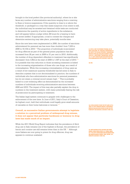brought to the local prefect (the provincial authority), where he or she faces any number of administrative sanctions ranging from a warning to fines or licence suspensions. If the quantity is close to or above the threshold, or packaged in a way that raises suspicion of an intent to sell, the individual may be arrested and detained while tests are conducted to determine the quantity of active ingredients in the substance, and will appear before a judge within 48 hours for a hearing to have the arrest ratified. If appropriate, a trial to contest the charges and determine sentencing may take place, potentially months later.

Since the new laws were implemented in 2006, the number of sanctions administered for personal use has more than doubled: from 7,229 in 2006 to 16,154 in 2010. $99$  The proportion of individuals incarcerated for drug offences as part of the general prison population has also increased from 28 per cent in 2006 to 31 per cent in 2010. Additionally, the number of drug-dependent offenders in treatment has significantly decreased: from 3,852 at the start of 2006 to 1,597 at the start of 2010.<sup>100</sup> It is possible that this reduction in those accessing treatment is linked to the increasing stigmatisation of those who use drugs, as a result of criminalisation. While this increasing criminalisation of drug users as a result of low maximum-quantity thresholds has led some in Italy to describe a system that is not decriminalised in practice, the numbers of individuals who face administrative sanctions for personal possession but do not retain a criminal record remain high.<sup>101</sup> This is probably linked to a net-widening effect as demonstrated by the increased numbers of individuals receiving administrative sanctions between 2006 and 2010. The impact of this may also partially explain the drop in numbers in the treatment system, with many potentially fearing the risk of prosecution by participating in treatment.

The Italian legal system continues to grapple with challenges to the enforcement of the new laws. In June of 2011, Italy's Court of Cassation, its highest court, held that individuals could legally grow small amounts of cannabis on their home balconies or terraces.<sup>102</sup>

#### **Overall, as successive Italian governments attempt to legislate a solution to a perceived problem of widespread drug misuse, it does not appear that particular harshness or leniency in drug laws has made much of an impact.**

While the 2011 World Drug Report indicates that the prevalence of illicit drug use in Italy remains one of the highest in Europe, the prevalence of heroin and cocaine use still remains lower than in the UK.<sup>103</sup> Although more Italians are now going to prison for drug offences, drug use appears to continue unabated.

**99. ZUFFA G. HOW TO DETERMINE PERSONAL USE IN DRUG LEGISLATION: THE 'THRESHOLD CONTROVERSY' IN THE LIGHT OF THE ITALIAN EXPERIENCE. TRANSNATIONAL INSTITUTE SERIES ON LEGISLATIVE REFORM OF DRUG LAWS NR. 15. AMSTERDAM: TRANSNATIONAL INSTITUTE, 2011: P.7 (HTTP://WWW.TNI.ORG/SITES/WWW.TNI.ORG/ FILES/DOWNLOAD/DLR15.PDF, ACCESSED 14 MAY 2012).**

**100. IBID.**

**101. IBID.**

**102. IN ITALY, NO NEED TO HIDE THE POT PLANTS. UPI 29 JUNE 1011 (HTTP://WWW.UPI.COM/TOP\_NEWS/WORLD-NEWS/2011/06/29/IN-ITALY-NO-NEED-TO-HIDE-THE-POT-PLANTS/UPI-74621309392885/, ACCESSED 14 MAY 2012).** 

**103. UNITED NATIONS OFFICE ON DRUGS AND CRIME (UNODC), WORLD DRUG REPORT 2011. VIENNA: ONODC, 2011: P.220 (HTTP://WWW.UNODC.ORG/DOCUMENTS/DATA-AND-ANALYSIS/WDR2011/WORLD\_DRUG\_REPORT\_2011\_ EBOOK PDF, ACCESSED 14 MAY 2012).**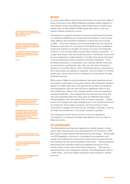**104. Q&A: MEXICO'S DRUG-RELATED VIOLENCE. BBC NEWS 25 JANUARY 2012 (HTTP://WWW.BBC.CO.UK/NEWS/ WORLD-LATIN-AMERICA-10681249, ACCESSED 14 MAY 2012).**

**105. MEXICO LEGALIZES DRUG POSSESSION. NEW YORK TIMES 21 AUGUST 2009 (HTTP://WWW.NYTIMES. COM/2009/08/21/WORLD/AMERICAS/21MEXICO.HTML, ACCESSED 14 MAY 2012).**

**106. 'NARCOMENUDEO DECREE,' AMENDING GENERAL HEALTH LAW ART. 478, AVAILABLE AT HTTP://WWW. DIPUTADOS.GOB.MX/LEYESBIBLIO/PDF/142.PDF [LAST VISITED 10 AUG. 2011].** 

**107. IBID.**

**108. MORAFF C. LATIN AMERICA'S LEGALIZATION PUSH. THE AMERICAN PROSPECT 26 JUNE 2009 (HTTP:// PROSPECT ORG/CS/ARTICLES?ARTICLE=LATIN AMERICAS\_LEGALIZATION\_PUSH, ACCESSED 14 MAY 2012).**

**109. HERNÁNDEZ TINAJERO J, ANGLES CZ. MEXICO: THE LAW AGAINST SMALL-SCALE DRUG DEALING. THE LAW AGAINST SWALL-SCALE DRUG DEALING:**<br>**TRANSNATIONAL INSTITUTE SERIES ON LEGISLATIVE REFORM OF DRUG POLICIES NR. 3. AMSTERDAM: TRANSNATIONAL INSTITUTE, 2009: P.3 (HTTP://WWW.TNI.ORG/FILES/DOWNLOAD/DLR3.PDF, ACCESSED 14 MAY 2012).**

**110. THE LEGISLATION REFERS TO DRUGS THAT POSE 'UNACCEPTABLE RISKS' AND THOSE WITH 'LESS SEVERE' RISKS.** 

**111. SEE STEVENS A. DRUGS, CRIME AND PUBLIC HEALTH: THE POLITICAL ECONOMY OF DRUG POLICY. ABINGDON: ROUTLEDGE, 2010: PP.120–122.**

**112. IBID.**

**113. OPIUM ACT (HTTP://WWW.CANNABIS-MED.ORG/ DUTCH/REGULATIONS/OPIUM\_ACTPDF ACCESSED 14 MAY 2012).**

#### **MEXICO**

In recent years, Mexico has become the frontline for drug-war violence. Since a decision in late 2006 by Mexican president Felipe Calderón to send federal troops to the Mexican state of Michoacán to battle drug cartels there, at least 45,000–50,000 people have died in drug-warrelated violence across the country.<sup>104</sup>

Advertised as a measure intended to focus law-enforcement priorities on combating traffickers and 'small-scale drug dealing' in lieu of drug users, Mexico decriminalised possession of small amounts of drugs in 2009.<sup>105</sup> Since the changes to the General Health Law, the Attorney General is instructed not to prosecute individuals found in possession of less than 5 grams of cannabis, 0.5 grams of cocaine, 50 milligrams of heroin, or one ecstasy tablet, among other minimum quantities.<sup>106</sup> If caught with drugs under the threshold amount, individuals receive only an encouragement to seek treatment; if caught three times with drugs under the threshold amount, treatment becomes mandatory.<sup>107</sup> If the arresting authorities, in consultation with medical officials, determine an individual is a problematic user, they can refer that individual to treatment on the first offence. And if individuals refuse to participate or fail to participate successfully in treatment, they are subject to criminal prosecution, as are those found in possession of drugs above the legal threshold amounts.

While news of Mexico's decriminalisation law made headlines around the world as a bold step in drug policy reform when President Calderón signed it in 2009, many have criticised the law as more of a symbolic decriminalisation than one that will have a significant effect on the lives of Mexicans. Many of the critiques centre on the low maximumquantity thresholds – some suggest that the amounts are so low that they will potentially label more drug users as traffickers than before decriminalisation and will subject them to harsher penalties.<sup>108</sup> Others predict the changes will create ambiguity as to how threshold amounts are measured, will increase corruption, and will continue to force consumers to engage with those the law considers criminals in order to purchase the substances it is no longer criminal to possess.<sup>109</sup>

The changes to the law are too recent to draw any significant conclusions or to measure the large-scale effects of the new laws on Mexican society.

#### **THE NETHERLANDS**

The Netherlands has long been regarded as a global pioneer in drug policy, often relating back to the amendments to its drug laws in 1976 that created a legal division between hard and soft drugs. $110$  Technically, the 1976 legislation continued to criminalise drug possession and supply, but guidelines for prosecution introduced at the same time lay the foundation for the decriminalisation framework.<sup>111</sup> These guidelines determined that cannabis supply and possession should be of the lowest priority to law enforcement and prosecutors.<sup>112</sup> This was the system that led to the subsequent creation of the Netherlands' famous 'coffee shops,' which are legally permitted to sell cannabis in limited amounts $113$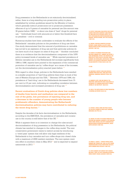Drug possession in the Netherlands is not statutorily decriminalised; rather, there is a long-standing non-prosecution policy in place, established by written guidelines issued by the Ministry of Justice, which generally instruct prosecutors not to prosecute possession offences of up to 5 grams of cannabis for personal use (the amount was 30 grams before 1996)114 or about one dose of 'hard' drugs for personal use.115 Individuals found with amounts at or below this threshold face no penalties – civil or criminal.

Numerous studies have been undertaken to evaluate the effects of the Netherlands' cannabis policies on the prevalence of drug use there. One study demonstrated that the removal of prohibitions on cannabis has not led to an explosion of drug use and that particular policies do not have much of an impact on rates of drug use.116 Another concluded there is no evidence that the decriminalisation component of the 1976 policy increased levels of cannabis use.117 While reported prevalence of lifetime cannabis use in the Netherlands did increase significantly from 1984 to 1996, experts have pointed to the expansion of the commercial promotion of cannabis use by 'coffee shops' as a cause of the increase, not the decriminalisation policy enacted years before.<sup>118</sup>

With regard to other drugs, policies in the Netherlands have resulted in a smaller proportion of 'hard'drug addicts there than in most of the rest of Western Europe and the USA.119 Between 1979 and 1994, the prevalence of 'hard-drug' use in the Netherlands decreased from 15 per cent to 2.5 per cent, indicating no compelling correlation between decriminalisation and increased prevalence of drug use.<sup>120</sup>

**Recent evaluations of Dutch drug policies show low numbers of deaths from heroin and methadone use compared to the rest of the globe, low prevalence of injecting drug use, and a decrease in the number of young people who become problematic offenders, demonstrating the Netherlands' decriminalisation policies may have contributed to reducing the worst drug harms.**<sup>121</sup>

Despite the decades of de facto decriminalisation in the Netherlands, according to the EMCDDA, the prevalence of cannabis and cocaine use in the country is still below that of the UK.<sup>122</sup>

While it appears there is no intention to change the rules around decriminalisation of drug possession in the Netherlands, the political climate has resulted in changes to the coffee shop model. The new conservative government wants to restrict access by introducing a 'weed pass' system that will allow only legal residents of the Netherlands to buy cannabis and turn coffee shops into closed clubs with a maximum of 2000 resident members. The new system went into effect in southern cities in May  $2012^{123}$  and is expected to expand nationwide in 2013.<sup>124</sup>

**114. REUTER P. MARIJUANA LEGALIZATION: WHAT CAN BE LEARNED FROM OTHER COUNTRIES? SANTA MONICA, CA: RAND DRUG POLICY RESEARCH CENTER, 2010: P.2 (HTTP://WWW.RAND.ORG/CONTENT/DAM/RAND/PUBS/ WORKING\_PAPERS/2010/RAND\_WR771.PDF, ACCESSED 14 MAY 2012).**

**115. EMCDDA. THRESHOLD QUANTITIES FOR DRUG OFFENCES. LISBON: EMCDDA, 2010 (HTTP://WWW. EMCDDA.EUROPA.EU/HTML.CFM/INDEX99321EN.HTML, ACCESSED 1 MAY 2012).**

**116. KILMER B. DO CANNABIS POSSESSION LAWS INFLUENCE CANNABIS USE?. CANNABIS 2002 REPORT: A JOINT INTERNATIONAL EFFORT AT THE INITIATIVE OF THE MINISTERS OF PUBLIC HEALTH OF BELGIUM, FRANCE, GERMANY, THE NETHERLANDS, SWITZERLAND: TECHNICAL REPORT OF THE SCIENTIFIC CONFERENCE. BRUSSELS: BELGIAN MINISTRY OF PUBLIC HEALTH, 2002: P.105.**

**117. IBID.**

**118. MACCOUN R, REUTER P. DRUG WAR HERESIES: LEARNING FROM OTHER VICES, TIMES AND PLACES. CAMBRIDGE: CAMBRIDGE UNIVERSITY PRESS, 2001: P.259.**

**119. MAMBER N. NOTE: COKE AND SMACK AT THE DRUGSTORE: HARM REDUCTIVE DRUG LEGALIZATION: AN ALTERNATIVE TO A CRIMINALIZATION SOCIETY. CORNELL JOURNAL OF LAW AND POLICY 2006;619:641.**

**120. GRAY JP. THE HOPELESSNESS OF DRUG PROHIBITION. 13 CHAPMAN LAW REVIEW 2010;521:545.**

**121. STEVENS A. DRUGS, CRIME AND PUBLIC HEALTH: THE POLITICAL ECONOMY OF DRUG POLICY. ABINGDON: ROUTLEDGE, 2010: PP.122–123.**

**122. EMCDDA. THE STATE OF THE DRUGS PROBLEM IN THE ACCEDING AND CANDIDATE COUNTRIES TO THE EUROPEAN UNION LISBON: EMCCDA, 2003 (HTTP://CANDIDATES2003. EMCDDA.EUROPA.EU/DOWNLOAD/CANDIDATES\_AR2003- EN.PDF, ACCESSED 14 MAY 2012).**

**123. KRANJC S., ESCRITT, T. TOURISTS PROTEST DUTCH CANNABIS BAN, TORONTO SUN 1 MAY 2012 (HTTP://WWW. TORONTOSUN.COM/2012/05/01/PROTESTORS-SAY-NO-TO-DUTCH-CANNABIS-BAN, ACCESSED 15 MAY 2012).**

**124. DUTCH CANNABIS CAFE OWNERS FIGHT CHANGES. BBC NEWS 7 APRIL 2012 (HTTP://WWW.BBC.CO.UK/NEWS/ WORLD-EUROPE-17865663, ACCESSED 14 MAY 2012).**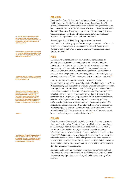**125. JELSMA M. DRUG LAW REFORM TREND IN LATIN AMERICA. AMSTERDAM: TRANSNATIONAL INSTITUTE, 2009: P.2 (HTTP://WWW.AKZEPT.ORG/PDF/VOLLTEXTE\_PDF/**<br> **2009: P.2 (HTTP://WWW.AKZEPT.ORG/PDF/VOLLTEXTE\_PDF/ NR24 INTER/TNITRENDS\_LATAM0110.PDF ACCESSED 14 MAY 2012).**

**126. UNODC, WORLD DRUG REPORT 2011. VIENNA: ONODC, 2011: P.220 (HTTP://WWW.UNODC.ORG/DR AND-ANALYSIS/WDR2011/WORLD\_DRUG\_REPORT\_2011\_ EBOOK.PDF, ACCESSED 14 MAY 2012.**

**127. PERUVIAN PENAL CODE, LAW 28,002 OF 2003, ART. 299 (HTTP://WWW.SEGURIDADIDL.ORG.PE/NORMAS/LEY28002. HTM, ACCESSED 14 MAY 2012).**

**128. GARRIDO RS. LEGISLATION ON DRUGS AND THE PRISON SITUATION IN PERU. IN: SYSTEMS OVERLOAD: DRUG LAWS AND PRISONS IN LATIN AMERICA. WASHINGTON/AMSTERDAM: WASHINGTON OFFICE ON LATIN AMERICA (WOLA)/TRANSNATIONAL INSTITUTE, 2010: P.71–80 (HTTP://WWW.DRUGLAWREFORM.INFO/EN/ PUBLICATIONS/SYSTEMS-OVERLOAD/ITEM/875-DRUG-LAWS-AND-PRISONS-IN-PERU, ACCESSED 14 MAY 2012).**

**129. IBID: P.71.**

**130. INTERNATIONAL DRUG POLICY CONSORTIUM. [POLISH PRESIDENT APPROVES NEW DRUG LAW.] LOND INTERNATIONAL DRUG POLICY CONSORTIUM, 2011 (HTTP:// WWW.IDPC.NET/ALERTS/POLISH-PRESIDENT-APPROVES-NEW-DRUG-LAW, ACCESSED 14 MAY 2012).**

#### **PARAGUAY**

Paraguay has formally decriminalised possession of illicit drugs since 1988. Under Law N° 1.340, an individual found with less than 10 grams of cannabis or 2 grams of cocaine or heroin will generally not be punished criminally or administratively. However, if a court determines that an individual is drug dependent, a judge is authorised, following an assessment by medical authorities, to mandate custodial drug treatment for a period of his or her determination.<sup>125</sup>

According to the UN World Drug Report, after decades of decriminalisation, Paraguay has the lowest prevalence of use for heroin, is tied for the lowest prevalence of cocaine use with Ecuador and Suriname, and is in the lower third of prevalence of cannabis use in South America.<sup>12</sup>

#### **PERU**

Historically a major source of coca cultivation, consumption of the traditional coca leaf has never been criminalised in Peru, but consumption and possession of other drugs for personal use have been exempted from maximum thresholds for personal possession. Since 2003, individuals found with up to 5 grams of cocaine paste, 2 grams of cocaine hydrochloride, 200 milligrams of heroin or 8 grams of tetrahydrocannabinol (THC) are not punishable under Peruvian law.<sup>127</sup>

Despite this statutory decriminalisation, research reveals a disconnection between policy and the reality of police practices in Peru. Police regularly hold in custody individuals who are found in possession of drugs, until determination of a non-trafficking status can be made  $-$  this often results in long periods of detention without charge.<sup>128</sup> This reveals that the criminal justice structures and operations within a state may have a significant impact on the ability of decriminalisation policies to be implemented effectively and successfully; policing and detention practices on the ground do not necessarily reflect the legislature's policy alignment. Drug-related offences have become the third leading cause of imprisonment in Peru, yet approximately onethird of nearly 12,000 inmates incarcerated for drug offences have not been formally charged or convicted of a crime.<sup>129</sup>

#### **POLAND**

Following years of intense debate, Poland took its first steps towards decriminalisation when President Komorowski signed an amendment to the country's drug laws in May 2011. This gives prosecutors the discretion not to prosecute drug-possession offences when the offender possesses a 'small quantity' for personal use and is a first-time offender.130 Prosecutors may also discontinue prosecution in favour of a referral to treatment if the individual is judged to be drug-dependent. The law, which formally took effect by the end of 2011, does not set out thresholds for determining what constitutes a 'small quantity,' leaving that determination to prosecutors.

It remains to be seen how Poland's recent drug law amendment will function in practice and what effects it will have on the prevalence of drug use, drug dependence, and drug-related disease, among other metrics.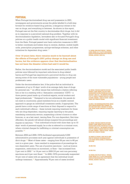#### **PORTUGAL**

When Portugal decriminalised drug use and possession in 2001, newspapers and governments across the globe labelled it a bold step forward for evidence-based drug policies, a dangerous retreat in the war on drugs, and everything in between. As shown in this report, Portugal was not the first country to decriminalise illicit drugs, but it did so in response to a perceived national drug problem. Together with its decriminalisation legislation, lawmakers also re-focused Portugal's drug policies on a public health model with significant financial investment from the State. Portugal passed new harm reduction measures in 2001 to better coordinate and bolster drop-in centres, shelters, mobile health units, prescription programmes, syringe-exchange schemes, and other initiatives for dependent drug users.<sup>131</sup>

#### **Over 10 years later, there remains much to be learned about the effects of Portugal's 2001 policy change on drug use and harms, but the evidence appears clear that decriminalisation has not been the disaster critics had said it would be.**

Rather, the decriminalisation model and the associated public health policies were followed by important reductions in drug-related harms and Portugal has experienced a perceived decline in drug use among some of the most vulnerable populations – young people and problematic users.

Under the decriminalisation law, if the police find an individual in possession of up to 10 days' worth of an average daily dose of drugs for personal use, $132$  an officer issues that individual a citation referring him or her to a meeting with a 'dissuasion commission' (CDT) – a three-person panel made up of medical experts, social workers and legal professionals.133 Designed to be non-adversarial, the panels do not meet in courtrooms; panel members focus on a health-centred approach to gauge an individual's treatment needs, if appropriate. The panels have a wide range of sanctions at their disposal to respond to each individual's offence – these include requiring treatment for those who are drug-dependent, requiring regular reporting to the panel. mandating community service, suspending a driver's licence or other licences, or, as a last resort, issuing fines. For non-dependent, first-time offenders, the panels will almost always suspend the proceedings and impose no sanction. $134$  If an individual is found with more than up to 10 days' worth of personal supply, he or she is referred to a criminal court, where criminal charges for trafficking or criminal consumption are possible.<sup>135</sup>

Between 2002 and 2009, CDTs facilitated approximately 6,000 administrative processes each year against individuals in possession of illicit drugs. $136$  Most of these cases – ranging from 59 per cent to 68 per cent in a given year – have resulted in suspensions of proceedings for non-dependent users. The use of punitive sanctions – such as licence suspension, restrictions on movement, or fines – has increased from 3 per cent in 2002137 to 14 per cent in 2009 (10 per cent non-pecuniary sanctions and 4 per cent fines).<sup>138</sup> In 2009, CDTs provisionally suspended 15 per cent of cases with an agreement that the individual would undergo treatment.139 Approximately 76 per cent of cases involved

**131. EMCDDA. DRUG POLICY PROFILES – PORTUGAL. LISBON: EMCDDA, 2011: P.18 (HTTP://WWW.EMCDDA. EUROPA.EU/PUBLICATIONS/DRUG-POLICY-PROFILES/ PORTUGAL, ACCESSED 14 MAY 2012).**

**132. EMCDDA. THRESHOLD QUANTITIES FOR DRUG OFFENCES. LISBON: EMCDDA, 2010 (HTTP://WWW. EMCDDA.EUROPA.EU/HTML.CFM/INDEX99321EN.HTML, ACCESSED 14 MAY 2012) – THIS AMOUNTS IN PRACTICE TO UP TO 5 GRAMS OF CANNABIS RESIN OR 25 GRAMS OF HERBAL CANNABIS, 1 GRAM OF ECSTASY, 1 GRAM OF HEROIN, AND 2 GRAMS OF COCAINE.**

**133. KREIT A. THE DECRIMINALIZATION OPTION: SHOULD STATES CONSIDER MOVING FROM A CRIMINAL TO A CIVIL DRUG COURT MODEL? UNIVERSITY OF CHICAGO LEGAL FORUM. CHICAGO: UNIVERSITY OF CHICAGO, 2010: 299–326.**

**134. EMCDDA. THRESHOLD QUANTITIES FOR DRUG OFFENCES. LISBON: EMCDDA, 2010 (HTTP://WWW. EMCDDA.EUROPA.EU/HTML.CFM/INDEX99321EN.HTML, ACCESSED 14 MAY 2012) – THIS AMOUNTS IN PRACTICE TO UP TO 5 GRAMS OF CANNABIS RESIN OR 25 GRAMS OF HERBAL CANNABIS, 1 GRAM OF ECSTASY, 1 GRAM OF HEROIN, AND 2 GRAMS OF COCAINE.**

**135. HUGHES CE, STEVENS A. WHAT CAN WE LEARN FROM THE PORTUGUESE DECRIMINALIZATION OF ILLICIT DRUGS? BRITISH JOURNAL OF CRIMINOLOGY 2010;50:1002.**

**136. IBID: P.1004.**

**137. IBID: P.1005.** 

**138. EMCDDA, DRUG POLICY PROFILES – PORTUGAL. LISBON: EMCDDA, 2011: P.17 (HTTP://WWW.EMCDDA. EUROPA.EU/PUBLICATIONS/DRUG-POLICY-PROFILES/ PORTUGAL, ACCESSED 14 MAY 2012).**

**139. IBID.**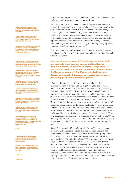**140. GREENWALD G. DRUG DECRIMINALISATION IN PORTUGAL: LESSONS FOR CREATING FAIR AND SUCCESSFUL DRUG POLICIES. WASHINGTON DC: CATO INSTITUTE, 2009.**

**141. PINTO C. THE RESOUNDING SUCCESS OF THE PORTUGUESE DRUG POLICY: THE POWER OF AN ATTRACTIVE FALLACY. LISBON: ASSOCIACAO PARA UMA PORTUGAL LIVRE DE DROGAS, 2010.**

**142. HUGHES CE, STEVENS A. A RESOUNDING SUCCESS OF A DISASTROUS FAILURE: RE-EXAMINING THE INTERPRETATION OF EVIDENCE ON THE PORTUGUESE DECRIMINALISATION OF ILLICIT DRUGS. DRUG AND ALCOHOL REVIEW 2012;31:101–113.**

**143. HUGHES CE, STEVENS A. WHAT CAN WE LEARN FROM THE PORTUGUESE DECRIMINALIZATION OF ILLICIT DRUGS? BRITISH JOURNAL OF CRIMINOLOGY 2010;50:1006 – CITING A SMALL INCREASE FROM 2001 TO 2007.**

**144. EMCDDA, DRUG POLICY PROFILES – PORTUGAL. LISBON: EMCDDA, 2011: P.20 (HTTP://WWW.EMCDDA. EUROPA.EU/ATTACHEMENTS.CFM/ATT\_137215\_EN\_ POLICYPROFILE\_PORTUGAL\_WEB\_FINAL.PDF, ACCESSED 14 MAY 2012).**

**145. PORTUGAL NATIONAL DRUG SURVEYS ARE NOT CARRIED OUT ANNUALLY; THE REPORTED INCREASE OCCURRED DURING THE PERIOD 1999 TO 2003.**

**146. HUGHES CE, STEVENS A. WHAT CAN WE LEARN FROM THE PORTUGUESE DECRIMINALIZATION OF ILLICIT DRUGS? BRITISH JOURNAL OF CRIMINOLOGY 2010;50:1006.**

**147. EMCDDA, DRUG POLICY PROFILES – PORTUGAL, P. 17 (2011), AVAILABLE AT HTTP://WWW.EMCDDA.EUROPA.EU/ ATTACHEMENTS.CFM/ATT\_137215\_EN\_POLICYPROFILE\_ PORTUGAL\_WEB\_FINAL PDF.** 

**148. HUGHES CE, STEVENS A. WHAT CAN WE LEARN FROM THE PORTUGUESE DECRIMINALIZATION OF ILLICIT DRUGS? BRITISH JOURNAL OF CRIMINOLOGY 2010;50:1015.**

**149. AFP. PORTUGAL DRUG LAW SHOW RESULTS TEN YEARS ON, EXPERTS SAY. AFP . 2011 (HTTP:// WWW.GOOGLE.COM/HOSTEDNEWS/AFP/ARTICLE/ ALEQM5G9C6X99ENFVDFUXW\_B8PVDRZLQCA?DOCID=CNG. E740B6D0077BA8C28F6D1DD931C6F679.5E1 ACCESSED 2 JULY 2012).**

**150. IBID.**

**151. GREENWALD G. DRUG DECRIMINALISATION IN PORTUGAL: LESSONS FOR CREATING FAIR AND SUCCESSFUL DRUG POLICIES. WASHINGTON DC: CATO INSTITUTE, 2009.**

**152. HUGHES CE, STEVENS A. WHAT CAN WE LEARN FROM THE PORTUGUESE DECRIMINALIZATION OF ILLICIT DRUGS? BRITISH JOURNAL OF CRIMINOLOGY 2010;50:1014.**

**153. IBID: 1015.**

**154. IBID: 1016.**

cannabis alone, 11 per cent involved heroin, 6 per cent involved cocaine and the remaining cases involved multiple drugs.

Reports on the impact of the Portuguese model have ranged from a 'resounding success'140 to 'disastrous failure'.141 Some decriminalisation proponents have claimed that Portugal's decriminalisation policy has led to a significant decrease in drug use and critics have claimed a significant increase; the truth lies somewhere in the middle. A study of the evidence and the competing positions was analysed in a 2012 report and identified the tensions in terms of the quality of available data in Portugal and the narrow reporting, or 'cherry picking' by some analysts, of the Portuguese experience.<sup>142</sup>

The impact of decriminalisation on any of the trends is debatable, not least because of the significant investment in harm reduction that took place in 2001, but:

**Analysis appears to suggest Portugal experienced a small increase in lifetime drug use among adults following decriminalisation, on par with its regional neighbours.**<sup>143</sup>  **Yet Portugal's level of drug use still remains generally below the European average.**<sup>144</sup> **Significantly, analysis has also demonstrated marked decreases in reported prevalence of use among particularly vulnerable groups.** 

After a slight increase leading up to and immediately after decriminalisation,<sup>145</sup> lifetime use among 15–16 year olds decreased between 2003 and 2007146 and both recent and current reported drug use declined among 15 to 24 year olds from 2001 to 2007. Rates of reported lifetime use appeared to increase for older age groups, but these increases were smaller for recent and current use. The prevalence of cannabis use in this age group is one of the lowest in Western Europe $147$  and trends suggest reductions in the number of young people becoming dependent on harder drugs like heroin.<sup>148</sup> Furthermore, from 2000 to 2005, the estimated number of problematic drug users declined, while the same category of users increased in regional neighbours Italy and Spain. Recent studies have suggested that there has been a 50 per cent decrease in the number of problematic drug users, from 100,000 in the early 1990s to 50,000 in 2012.<sup>149</sup> The estimated numbers of injecting drug users in Portugal also decreased by over 40 per cent during that period.<sup>150</sup>

Some of the most significant changes in Portugal have taken place in the public health arena – since decriminalisation, Portugal has experienced tremendous increases in the number of drug-dependent individuals in treatment $151$  and has seen significant reductions in transmission of HIV and tuberculosis.<sup>152</sup> The number of new drug users diagnosed with HIV decreased from 907 in 2000 to 267 in 2008 and the number of new AIDS cases decreased from 506 to 108 over the same period.<sup>153</sup> Experts on the ground attribute this to the significant expansion of harm reduction services in conjunction with the decriminalisation policy.154 While the number of new HIV cases is still high by international standards, the trends demonstrate an encouraging sign of the success of harm reduction services there.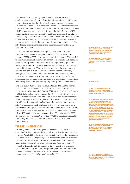There have been conflicting reports on the level of drug-related deaths since the introduction of decriminalisation in 2001, with some commentators stating that there has been an increase and others claiming a decrease. This is largely as a result of the different methods of post-mortem reporting resulting in weaknesses in the data. The most reliable reporting data is from the National Statistics Institute (INE), which has backdated its research to 2001 and measures drug-related death as only those incidents where a doctor has determined the cause of death as related directly to drug consumption. The INE data show a significant decrease in the number of drug-related deaths since the introduction of decriminalisation and the increased investment in harm reduction services.<sup>155</sup>

On the criminal justice side, Portugal has reduced the number of criminal drug offences from approximately 14,000 per year to an average of 5000 to 5500 per year after decriminalisation.<sup>156</sup> This has led to a significant reduction in the proportion of individuals in Portuguese prisons for drug-related offences – in 1999, 44 per cent of prisoners were incarcerated for drug-related offences; by 2008, that figure had reduced to 21 per cent. This resulted in a major reduction in prison overcrowding in Portuguese prisons.157 Since decriminalisation, Portuguese law-enforcement statistics have also revealed an increase in operational capacity, resulting in more domestic drug trafficking seizures and an increase in international anti-trafficking collaborations that have provided for greater targeting of drug traffickers by sea.<sup>158</sup>

Critics of the Portuguese system have attempted to link the change in policy with an increase in the murder rate in the country.<sup>159</sup> These claims are simply unfounded. In their 2012 paper, Hughes and Stevens tackle this issue head on and assert that the claims that the murder rate have increased are related to an unsubstantiated comment in the World Drug Report 2009.<sup>160</sup> Hughes and Stevens found that there was no evidence linking decriminalisation to the increase in the murder rate.161 Interestingly, the Eurostat data that record homicide rates in Europe show that, prior to the introduction of decriminalisation in 2001, Portugal's homicide rate was 0.9 per 100,000 and fluctuated between 1.1 per 100,000 in 1999 and a peak of 1.7 in 100,000 in 2004. In 2009, the murder rate was again 0.9 per 100,000 of the population, arguably debunking the notion that decriminalisation results in an increased homicide rate.

#### **THE RUSSIAN FEDERATION**

Following years of harsh drug policies, Russia moved towards decriminalisation for possession of small quantities of drugs in the last 10 years. Article 228 of Russia's criminal code provides that possession of a 'large amount' of illegal drugs is punishable by criminal sanctions. Those caught in possession of less than a 'large amount' however, potentially face only administrative sanctions. Over the previous 8 years, the threshold that determines a 'large' quantity of drugs has oscillated from a very low limit to slightly higher limit and then back to a very low level. This has made decriminalisation in Russia an inconsistent and effectively unrealised policy.<sup>162</sup>

#### **155. HUGHES CE, STEVENS A. A RESOUNDING SUCCESS OF A DISASTROUS FAILURE: RE-EXAMINING THE INTERPRETATION OF EVIDENCE ON THE PORTUGUESE PERIMINALISATION OF ILLICIT ALCOHOL REVIEW 2012;31:101, 107–108.**

**156. HUGHES CE, STEVENS A. WHAT CAN WE LEARN FROM THE PORTUGUESE DECRIMINALIZATION O ILLICIT DRUGS? BRITISH JOURNAL OF CRIMINOLOGY 2010;50:1008.**

**157. IBID: P.1010.**

#### **158. IBID: PP.1012–1013.**

**159. PINTO C. THE RESOUNDING SUCCESS OF THE PORTUGUESE DRUG POLICY: THE POWER OF AN ATTRACTIVE FALLACY. LISBON: ASSOCIACAO PARA UMA PORTUGAL LIVRE DE DROGAS, 2010.**

**160. THE UNODC WORLD DRUG REPORT 2009 (HTTPS:// WWW.UNODC.OR WDR2009\_ENG\_WEB.PDF, ACCESSED 14 MAY 2012) STATED THAT 'WHILE COCAINE SEIZURES IN A NUMBER OF EUROPEAN COUNTRIES INCREASED SHARPLY DURING THAT PERIOD, IN 2006, PORTUGAL SUD SIXTH-HIGHEST COCAINE SEIZURE TOTAL IN THE WORLD. THE NUMBER OF MURDERS INCREASED 40% DURING THIS SAME PERIOD OF TIME, A FACT THAT MIGHT BE RELATED TO THE TRAFFICKING ACTIVITY. ALTHOUGH THE RATE REMAINS LOW AND LISBON IS ONE OF EUROPE'S SAFEST CITIES, PORTUGAL WAS THE ONLY EUROPEAN COUNTRY TO SHOW A SIGNIFICANT INCREASE IN MURDER DURING THIS PERIOD'.**

**161. HUGHES CE, STEVENS A. A RESOUNDING SUCCESS OF A DISASTROUS FAILURE: RE-EXAMINING THE INTERPRETATION OF EVIDENCE ON THE PORTUGUESE DECRIMINALISATION OF ILLICIT DRUGS. DRUG AND ALCOHOL REVIEW 2012;31:108.**

**162. LEVISON L. HALF A GRAM – A THOUSAND LIVES. HARM REDUCTION JOURNAL 2008;5(22):2 (HTTP://WWW. HARMREDUCTIONJOURNAL.COM/CONTENT/PDF/1477-7517- 5-22.PDF, ACCESSED 14 MAY 2012).**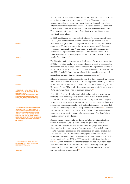Prior to 2004, Russian law did not define the threshold that constituted a criminal amount or 'large amount' of drugs. However, courts and prosecutors relied on a summary table from the Expert Board of the International Narcotics Control Board. This table defined 0.1 grams of cannabis and 0.005 grams of heroin as exceptionally large amounts. This meant that the application of administrative punishment was practically unavailable.

In 2004, the Russian Government introduced RF Government Decree No. 231, which stated that 10 to 50 times a single dose should be treated as a 'large amount'.163 In practice, this translated to threshold amounts of 20 grams of cannabis, 1 gram of heroin, and 1.5 grams of cocaine, and resulted in 40,000 people who had been previously convicted being released or having their sentences reduced. In 2004– 2005, an estimated 60,000 people avoided criminal prosecution as a result of the change. $164$ 

Yet following political pressures on the Russian Government after the 2004 law revision, the law was changed again in 2006 to decrease the thresholds. The new 'large amount' thresholds  $-6$  grams of cannabis, 0.5 grams of heroin and 0.5 grams of cocaine – are still higher than the pre-2004 thresholds but have significantly increased the number of individuals convicted under the drug possession laws. $^{165}$ 

If found in possession of an amount below the 'large amount' threshold, individuals face fines of up to 1000 rubles (approximately £21) or 15 days of administrative detention.<sup>166</sup> It is worth noting that according to the European Court of Human Rights any detention of an individual by the State for such acts is equal to criminal liability.<sup>167</sup>

As of 2011, Russia's Kremlin-controlled parliament was planning to institute harsh new drug laws, described as a 'total war on drugs'. Under the proposed legislation, dependent drug users would be jailed or forced into treatment, in a departure from the existing administrative sentencing regime, and dealers will be handed more severe custodial sentences, including sentences of up to life imprisonment.<sup>168</sup> There are also proposals to introduce the criminal offence of internal possession, meaning anyone testing positive for the presence of an illegal drug would be guilty of an offence.

Despite the appearance of a moderate statutory decriminalisation policy, in practice Russia's approach to drug use has been an unmitigated disaster. As well as their failure to properly implement decriminalisation, punitive laws have prevented the availability of opiate substitute-prescribing and a restriction on needle exchanges. This has led to an HIV epidemic among people who use drugs, especially those who inject intravenously, with 80 per cent of all HIV cases registered from 1987 to 2008 associated with injecting drug use.<sup>169</sup> Human rights abuses against those who use drugs have been well documented, with 'treatment methods' including beatings, starvation, long-term handcuffing to bed frames, electric shock and burying patients in the ground.<sup>170</sup>

**163. IBID: P.1.**

**164. IBID: P.2.**

**165. IBID: P.3.**

**166. IBID: P.1.**

**167. MERKINAITE, S. A WAR AGAINST PEOPLE WHO USE DRUGS: THE COSTS. EURASIAN HARM REDUCTION NETWORK (EHRN), VILNIUS: 2012, PAGE15 (HTTP://WWW.HARM-REDUCTION.ORG/IMAGES/STORIES/LIBRARY/COSTS\_ REPORT\_FINAL\_ENG.PDF, ACCESSED 20 MAY 2012).** 

**168. PARFITT T. RUSSIA DEFIES GROWING CONSENSUS WITH DECLARATION OF 'TOTAL WAR ON DRUGS'. THE GUARDIAN 8 JUNE 2011 (HTTP://WWW.GUARDIAN.CO.UK/ WORLD/2011/JUN/08/RUSSIA-TOTAL-WAR-ON-DRUGS, ACCESSED 14 MAY 2012) – BORIS GRYZLOV, SPEAKER OF THE STATE DUMA, SAID, 'THE BARONS OF NARCO-BUSINESS MUST BE PUT ON A PAR WITH SERIAL KILLERS WITH THE APPROPRIATE PUNISHMENT IN THE FORM OF A LIFE SENTENCE'.**

**169. MERKINAITE S. A WAR AGAINST PEOPLE WHO USE DRUGS: THE COSTS. VILNIUS: EURASIAN HA REDUCTION NETWORK, 2012: P22.** 

**170. IBID: P.21.**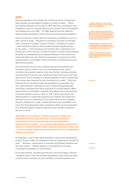#### **SPAIN**

Personal possession and private use of small amounts of drugs have been formally decriminalised in Spain for nearly 30 years.<sup>171</sup> While the Spanish Supreme Court ruled in 1974 that drug consumption and possession were not criminal offences, the concept was not integrated into Spanish law until 1982.<sup>172</sup> In 1992, Spanish law first called for administrative penalties for public drug use and personal possession.<sup>173</sup>

Under current law, if police find an individual in possession of up to 5 days' worth of drugs – 200 grams of cannabis, 25 grams of cannabis resin, 2.4 grams of ecstasy, 3 grams of heroin, 7.5 grams of cocaine $174$ – that individual is likely to face an administrative penalty issued by the police.175 Such sanctions can include a fine, suspension of an individual's driver's licence or firearms licence, or other minor penalties. Penalties are established by the Spanish Ministry of the Interior but local authorities may also determine sanctions in conjunction with a hearing before a local safety board if local laws or regulations for drug offences are present.

If an individual is found with a quantity above the threshold, that individual may go before a court or a local safety board, which considers the quantity together with other factors, including whether the individual is a known user, where the drugs were found, how they were stored, and the presence of large quantities of cash, to determine if the drugs were intended for self-consumption or trade.<sup>176</sup> Although Supreme Court precedent holds that possession of quantities over the 5-day threshold constitutes a crime, individuals apprehended with larger quantities have been acquitted of criminal liability. Many issues remain contestable in Spanish drug offence court proceedings, including whether a drug is 'hard' or 'soft' (which may impact the determination of a particular sanction) and whether the drugs were intended for use or distribution. If an individual is found to possess drugs for distribution or sale, custodial sentences are available to the court. For drug-dependent users, penalties or fines can be suspended if an offender agrees to attend treatment at an officially recognised service or centre.

**Although the prevalence of illicit drug use in Spain has fluctuated over the past 30 years, and the prevalence of possession and use among the general population – particularly of cocaine – is currently high, Spain's experience seems to clearly illustrate what research continues to bear out: a country's drug-enforcement policies do not have a significant impact on drug use.**

For example, in the 5 years following Spain's formal decriminalisation of illicit drugs in 1982, the prevalence of heroin dependence reached its peak.<sup>177</sup> However, consumption of cannabis and hashish declined over the same period.<sup>178</sup> Neither appears to necessarily be a product of changes in legislation or enforcement.

In the past decade, cannabis growers and users have begun opening 'cannabis clubs', which are private organisations that administer bars or clubs where members can use cannabis in private together with

**171. GAMELLA J, RODRIGO MLJ. A BRIEF HISTORY OF CANNABIS POLICIES IN SPAIN (1968–2003). JOURNAL OF DRUG ISSUES 2004;SUMMER:630.**

**172. MARTÍN BA. CANNABIS SOCIAL CLUBS IN SPAIN: A NORMALIZING ALTERNATIVE UNDERWAY. TRANSNATIONAL INSTITUTE SERIES ON LEGISLATIVE REFORM OF DRUG POLICIES NR. 9. AMSTERDAM: TRANSNATIONAL INSTITUTE 2011 (HTTP://WWW.TNI.ORG/SITES/WWW.TNI.ORG/FILES/ DOWNLOAD/DLR9.PDF, ACCESSED 14 MAY 2012).**

**173. CONSTITUTIONAL LAW 1/1992, ART. 25–30. (HTTP:// WWW.EMCDDA.EUROPA.EU/HTML.CFM/INDEX5173EN. HTML?PLUGINMETHOD=ELDD.SHOWLEGALTEXTDETAIL&ID =564&LANG=EN&T=2, ACCESSED 20 MAY 2012).**

**174. EMCDDA. THRESHOLD QUANTITIES FOR DRUG OFFENCES. LISBON: EMCDDA, 2010 (HTTP://WWW. EMCDDA.EUROPA.EU/HTML.CFM/INDEX99321EN.HTML, ACCESSED 14 MAY 2012).**

**176. IBID: P.638.**

**177. IBID: P.629.**

**178. IBID: P.634.**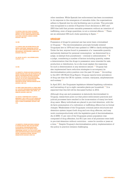**179. BUXTON N. DRUG CLUB: SPAIN'S ALTERNATIVE CANNABIS ECONOMY. AMSTERDAM: TRANSNATIONAL INSTITUTE, 2011 (HTTP://WWW.TNI.ORG/ARTICLE/DRUG-CLUB-SPAINS-ALTERNATIVE-CANNABIS-ECONOMY, ACCESSED 14 MAY 2012).**

#### **180. IBID.**

**181. JELSMA M. DRUG LAW REFORM TREND IN LATIN AMERICA. AMSTERDAM: TRANSNATIONAL INSTITUTE, 2009: P.1 (HTTP://WWW.AKZEPT.ORG/PDF/VOLLTEXTE\_PDF/**<br> **NR23/DROGENPO\_INTER/TNITRENDS\_LATAM0110 PDE NR24 INTER/TNITRENDS\_LATAM0110.PDF ACCESSED 14 MAY 2012).**

**182. LAW NO. 17.016 ART. 31. 1998, UPDATING LAW NO. 14.294 ART. 31. 1974.**

**183. IBID.**

**184. GARIBOTTO G. PRISONS AND DRUGS IN URUGUAY. IN: SYSTEMS OVERLOAD: DRUG LAWS AND PRISONS IN LATIN AMERICA, WASHINGRON/AMSTERDAM: WASHIN OFFICE ON LATIN AMERICA (WOLA)/TRANSNATIONAL INSTITUTE, 2010: P.82 (HTTP://WWW.DRUGLAWREFORM. INFO/IMAGES/STORIES/DOCUMENTS/SYSTEMS\_ OVERLOAD/TNI-SYSTEMS\_OVERLOAD-URUGUAY-DEF.PDF, ACCESSED 14 MAY 2012).**

**185. UNODC. WORLD DRUG REPORT 2011. VIENNA: ONODC, 2011: P.220 (HTTP://WWW.UNODC.ORG/DOCUMENTS/DATA-AND-ANALYSIS/WDR2011/WORLD\_DRUG\_REPORT\_2011\_ EBOOK.PDF, ACCESSED 14 MAY 2012).**

**186. VALERIA G. PERMITIRÁN HASTA 8 PLANTAS DE MARIHUANA. EL PAIS 19 APRIL 2011 (HTTP://WWW.ELPAIS. COM.UY/110419/PNACIO-561056/NACIONAL/PERMITIRAN-HASTA-8-PLANTAS-DE-MARIHUANA/, ACCESSED 14 MAY 2012).**

**187. GARIBOTTO G. PRISONS AND DRUGS IN URUGUAY. IN: SYSTEMS OVERLOAD: DRUG LAWS AND PRISONS IN LATIN AMERICA, WASHINGRON/AMSTERDAM: WASHINGTON OFFICE ON LATIN AMERICA (WOLA)/ TRANSNATIONAL INSTITUTE, 2010: PP.82–86 (HTTP://WWW. DRUGLAWREFORM.INFO/IMAGES/STORIES** SYSTEMS\_OVERLOAD/TNI-SYSTEMS\_OVERLOAD-**URUGUAY-DEF.PDF, ACCESSED 14 MAY 2012).**

other members. While Spanish law enforcement has been inconsistent in its response to the emergence of cannabis clubs, the organisations adhere to Spanish law by only facilitating use in private. This principle was recognised in a series of Supreme Court decisions in 2001 and 2003 that held that private cannabis possession without an intention of trafficking, even of large quantities, is not a criminal offence.<sup>179</sup> There are an estimated 300 such clubs operating in Spain.<sup>180</sup>

#### **URUGUAY**

Possession of drugs for personal use has never been criminalised in Uruguay.181 The decriminalisation principle formally entered Uruguayan law in 1974 and was updated in 1998 to clarify ambiguities. Under the law, anyone found in possession of a 'reasonable quantity exclusively destined for personal consumption,' as determined by a judge, is exempt from punishment – criminal or administrative.<sup>182</sup> If a judge, considering a number of factors including quantity, makes a determination that the drugs in possession were intended for sale, production or distribution, he or she must explain the reasoning for such a determination in any sentence issued.<sup>183</sup> Uruguay has also implemented harm reduction strategies to accompany its decriminalisation policy position over the past  $12$  years.<sup>184</sup> According to the 2011 UN World Drug Report, Uruguay reports lower prevalence of drug use than the UK for opiates, cocaine, marijuana, amphetamines and ecstasy. $18$ 

In April 2011, the Uruguayan legislature debated legalising cultivation and harvesting of up to eight cannabis plants per household.<sup>186</sup> It is expected that this bill will be discussed further in 2012.

Although drug use and possession is statutorily decriminalised in Uruguay, researchers point out that police-enforcement practices and judicial processes have resulted in the incarceration of many low-level drug users. Many individuals are placed in pre-trial detention, with the de facto presumption of a cultivation or trafficking offence but no formal charges. Weaknesses of the Uruguayan criminal justice structures and detention system impact both drug and non-drug offences, and may work counterproductively with the legislative goal of decriminalisation. As of 2009, 11 per cent of the Uruguayan prison population was composed of drug offenders, but 65.3 per cent of all prisoners were held in pre-trial detention without conviction – some for months or years at a time.187 Despite Uruguay's decriminalisation policy, implementation of the policy in practice remains challenging.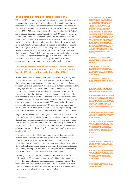### **UNITED STATES OF AMERICA: STATE OF CALIFORNIA**

While the USA is infamous for both its extremely harsh drug laws (and consequential incarceration rates – often as the result of mandatory minimum sentencing) and its insatiable appetites for illicit drugs, 14 US states have passed some variety of cannabis decriminalisation laws since 1973.<sup>188</sup> Although cannabis is still criminalised under US federal law, states and municipalities throughout the USA have set their own cannabis-enforcement policies and penalties for decades. Studies conducted in the 1970s to assess the impact of decriminalisation on the prevalence of cannabis use in four decriminalised US states indicated slight but statistically insignificant increases in cannabis use among the adult population. Over the same time period, states with harsh penalties experienced larger and statistically significant increases in the prevalence of use.<sup>189</sup> Other studies have suggested a slightly greater likelihood (2–5 per cent) that young people living in decriminalised states will have used cannabis recently, but have not found any statistically significant impact on the annual prevalence of use.<sup>190</sup>

#### **Following decriminalisation in California, the total cost of cannabis enforcement declined from \$17 million in the first half of 1975 to \$4.4 million in the first half of 1976.**<sup>191</sup>

Although cannabis is the only decriminalised illicit drug in any state in the USA, some jurisdictions have made strides towards reducing the punitive sanctions associated with minor drug offences. In 2000, voters in California approved Proposition 36 in a state-wide referendum, changing California law to sentence offenders convicted of nonviolent, first- or second-time simple drug possession to community drug treatment and probation, in lieu of a custodial sentence.<sup>192</sup> Since implementation began in 2001, hundreds of thousands of individuals have been referred to treatment in lieu of entering the criminal justice system, with savings to the state of \$5,836 for each offender that successfully completed treatment.<sup>193</sup> Overall, the programme has resulted in \$2.50 in savings for every \$1.00 spent implementing it and over 5 years has saved a total of between \$850 million and \$1.3 billion.<sup>194</sup>

Proposition 36 has not been an unqualified success, however: 5 years after implementation, only 34 per cent of people who entered treatment through the programme completed it successfully $195$  and half of people who entered the programme were re-arrested for drug offences within 30 months.196,197 For those who did complete treatment successfully, subsequent drug use dropped by 71 per cent and employment rates nearly doubled.<sup>198</sup>

In practice, Proposition 36 did not create a formal decriminalisation system, as an individual must plead guilty or be convicted of the offence in order to be eligible for the diversion programme. An individual must successfully complete treatment to be eligible to have the arrest and criminal conviction wiped from their permanent record. While many participants completed the programme and successfully struck the crime from their records, many more did not.

Following California's budget crisis in recent years, all funding for Proposition 36 treatment programmes had been eliminated by 2011, while the prohibition on incarceration remains in place.<sup>199</sup> For individuals convicted of offences eligible under Proposition 36 now, many will be released without a referral to treatment, while others will remain on waiting lists for treatment availability.

**188. THESE STATES INCLUDE: ALASKA, CALIFORNIA, COLORADO, CONNECTICUT, MAINE, MASSACHUSETTS, MINNESOTA, MISSISSIPPI, NEBRASKA, NEVADA, NEW YORK, NORTH CAROLINA, OHIO AND OREGON. WHILE SOME STATES' CANNABIS LAWS APPEAR CLOSER TO A CLASSIFICATION OF 'DEPENALISATION' THAN 'DECRIMINALISATION,' EACH HAS AT A MINIMUM SIGNIFICANTLY REDUCED OR ELIMINATED PENALTIES FOR SMALL AMOUNTS OF CANNABIS, OR MADE CANNABIS ENFORCEMENT A LOW PRIORITY FOR LAW ENFORCEMENT. IN ADDITION TO THESE STATES, MANY US MUNICIPALITIES HAVE PASSED DECRIMINALISATION LAWS OR MADE MARIJUANA ENFORCEMENT A LOWEST-LEVEL POLICING PRIORITY. AS OF JUNE 2012, THE U.S. STATE OF RHODE ISLAND WAS POISED TO BECOME THE FIFTEENTH STATE TO DECRIMINALIZE POSSESSION OF CANNABIS. FURTHER TO THIS TWO ADDITIONAL U.S. STATES, COLORADO AND WASHINGTON, WILL HAVE BALLOT QUESTIONS ON DECRIMINALIZATION IN NOVEMBER 2012, WHICH, IF PASSED, WOULD BRING THE NUMBER OF U.S. STATES DECRIMINALIZED UP TO 17. (HTTP:// FOXNEWS.COM/US/2012/06/10/EFFORTS-TO-RELAX-POT-RULES-GAINING-MOMENTUM-IN-US/, ACCESSED 13 JUNE 2012).**

**189. SINGLE E, CHRISTIE P, ALI R. THE IMPACT OF CANNABIS DECRIMINALISATION IN AUSTRALIA AND THE UNITED STATES. JOURNAL OF PUBLIC HEALTH POLICY 2000;21(2):171.**

**190. PACULA R, CHRIQUI J, KING J. MARIJUANA DECRIMINALIZATION: WHAT DOES IT MEAN IN THE UNITED STATES? CAMBRIDGE, MA: NATIONAL BUREAU OF ECONOMIC RESEARCH, 2004: P.17 (HTTP://WWW.RAND. ORG/PUBS/WORKING\_PAPERS/2004/RAND\_WR126.PDF, ACCESSED 14 MAY 2012).**

**191. SINGLE E, CHRISTIE P, ALI R. THE IMPACT OF CANNABIS DECRIMINALISATION IN AUSTRALIA AND THE UNITED STATES. JOURNAL OF PUBLIC HEALTH POLICY 2000;21(2):26.**

**192. SUBSTANCE ABUSE AND CRIME PREVENTION ACT OF 2000 (HTTP://WWW.NATIONALFAMILIES.ORG/GUITER/GUIDE/ CALIFORNIA36-FULL.HTML, ACCESSED 14 MAY 2012).**

**193. URADA D, HAWKEN A, CONNER BT ET AL. EVALUATION OF PROPOSITION 36: THE SUBSTANCE ABUSE AND CRIME PREVENTION ACT OF 2000, UCLA INTEGRATED SUBSTANCE ABUSE PROGRAMS, PREPARED FOR THE DEPARTMENT OF ALCOHOL AND DRUG PROGRAMS, CALIFORNIA HEALTH AND HUMAN SERVICES AGENCY. LOS ANGELES: UCLA, 2008: P.228 (HTTP://WWW.UCLAISAP.ORG/PRO DOCUMENTS/2008%20FINAL%20REPORT.PDF, ACCESSED 14 MAY 2012).**

**194. DOOLEY M. GIVE PROP. 36 A CHANCE. LOS ANGELES TIMES 7 APRIL 2007 (HTTP://WWW.LATIMES.COM/NEWS/ OPINION/LA-OEW-DOOLEY5APR05,0,1087793.STORY, ACCESSED 14 MAY 2012).**

**195. SEE CALIFORNIA SOCIETY OF ADDICTION MEDICINE (CSAM). SAN FRANCISCO: CSAM, 2009. 2009/10 BUD FUNDING FOR PROPOSITION 36 ADDICTION TREATMENT (HTTP://WWW.CSAM-ASAM.ORG/200910-BUD FUNDING-PROPOSITION-36-ADDICTION-TREATMENT, ACCESSED 14 MAY 2012) - SHOWII OF ANNUAL PARTICIPANTS COMPLETED TREATMENT SUCCESSFULLY.**

**196. IBID.**

**197. GARVEY M., LEONARD J. DRUG USE REARRESTS UP AFTER PROP. 36. LOS ANGELES TIMES 14 APRIL 2007 (HTTP://ARTICLES.LATIMES.COM/2007/APR/14/LOCAL/ME-DRUG14, ACCESSED 14 MAY 2012).**

**198. SEE CALIFORNIA SOCIETY OF ADDICTION MEDICINE (CSAM). SAN FRANCISCO: CSAM, 2009. 2009/10 BUDGET: FUNDING FOR PROPOSITION 36 ADDICTION TREATMENT (HTTP://WWW.CSAM-ASAM.ORG/200910-BUDGET-FUNDING-PROPOSITION-36-ADDICTION-TREATMENT, ACCESSED 14 MAY 2012).**

**199. RICHMAN J. MONEY IS GONE, BUT PROPOSITION 36'S DRUG-TREATMENT MANDATE REMAINS. OAKLAND TRIBUNE 22 FEBRUARY 2011.**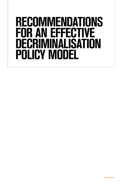### **RECOMMENDATIONS FOR AN EFFECTIVE DECRIMINALISATION POLICY MODEL**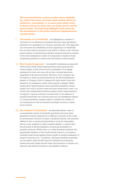**The decriminalisation country profiles above highlight the reality that many countries adopt models which are ineffective, unworkable, or in some cases which result in greater harms for those who use drugs and for society more broadly. The following highlights both issues for the development of the policy itself and implementation considerations:**

- **1 Thresholds or no thresholds** as highlighted a number of countries do not determine threshold amounts when deciding if someone is in possession of a drug for personal use. This approach can overcome the inflexibility of strict application of thresholds but can also result in abuses by the police or others in the criminal justice system in determining whether someone should be subject to the decriminalisation model. It is important to balance these competing positions to ensure that the system works properly.
- **1.1 Non threshold approach** one benefit of adopting an approach where police make initial determinations about personal use versus supply, is that those found in possession of an illegal substance for their own use will not face criminal sanctions regardless of the amount seized. However, such a system can be subject to abuse as demonstrated by the decriminalisation system in Uruguay, which is plagued by high levels of pre-trial detention for possession cases where supply is alleged. While initial police determinations about personal possession versus supply can work to protect users and save prosecution costs, it is critical that independent judiciary subject police determinations of supply to rigorous scrutiny to ensure that in the absence of quantity thresholds non-criminal users are not mistakenly subject to criminal penalties. Judges ought to consider the totality of circumstances as well as embrace principles of lenity in cases such as these.
- **1.2 The adoption of thresholds** as illustrated above, there is a considerable variety of threshold quantities that have been adopted for similar substances in different countries of the world. If a government chooses to adopt a threshold system, the amounts defined in law or prosecutorial guidance must be meaningful, that is to say, adapted to reflect market realities, to ensure that the principle of decriminalisation of personal possession is properly achieved. While there is no ideal threshold quantity, the appropriate adoption of this model should result in no arrests or criminal prosecutions against those caught in simple possession of drugs for personal use. In addition, although threshold quantities can be useful, these should only be considered as indicative, prosecutors and judges should retain the discretion to decide on a case-by-case basis according to all available evidence.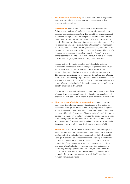- **2 Response and Sentencing** there are a number of responses a country can take in addressing drug possession outside a criminal justice setting:
- **2.1 No response** some countries such as the Netherlands or Belgium have policies whereby those caught in possession for personal use receive no sanction. The benefit of such an approach is the cost savings to the criminal justice system, added to this the individual caught does not have to undergo an unnecessary penalty. For example, large numbers of people subject to a civil fine for possession will agree to undertake a treatment programme in lieu of payment. Many do this simply to avoid payment and do not benefit from treatment since they do not use drugs problematically. It should be recognised that only a minority of people who use drugs (estimated at 10 to 15% of all users) suffer from a medically problematic drug-dependence, and may need treatment.

Further to this, the model adopted by Portugal allows for an incremental response to someone caught in possession of drugs for personal use. On the first occasion generally no action is taken, unless the individual wishes to be referred to treatment. The person's name is simply recorded by the authorities, after six months their name is expunged from the records. However, if they are caught again with drugs within that six month period they are brought before individualised dissuasion commissions and face a penalty or referral to treatment.

It is arguably a waste of police resources to pursue and arrest those who use drugs recreationally, and the decision not to police such offences did not lead to an increase in drug use in the Netherlands.

- **2.2 Fines or other administrative penalties** many countries issue fines (including on the spot fines issued by the police) for possession of drugs for personal use. As highlighted in the point above the availability of undertaking treatment in lieu of payment can be problematic. If a system of fines is to be adopted, it must be set at a reasonable level and not result in the imprisonment of large numbers of people for non-payment. Other forms of civil penalties, such as seizure of passport or driving licence, should be avoided as these can have an unduly negative impact on a person's life.
- **2.3 Treatment** in terms of those who are dependent on drugs, we would recommend that the police work with treatment agencies to offer an individualised referral route such as that advocated in Portugal. It should also be recognised that a variety of treatment options should be made available including opiate substitute prescribing. Drug dependency is a chronic relapsing condition and any system that solely focuses on 'drug free outcomes' is potentially setting a person up to fail. Also, failure to meet the conditions of treatment should be addressed by involving the person in their treatment programme and should certainly not result in criminal sanctions.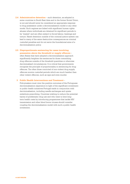**2.4 Administrative detention** – such detention, as adopted in some countries in South East Asia and in the former Soviet Union, is not and should never be considered an appropriate response to drug possession under a decriminalisation model or any other model. Such regimes are linked with significant human rights abuses where individuals are detained for significant periods to be 'treated' and are often subject to forced labour, beatings and torture. Harsh detention outside of the criminal justice system can lead to many of the same destructive consequences as criminal custodial penalties and do not serve the foundational aims of a decriminalisation policy.

### **2.5 Disproportionate sentencing for cases involving**

**possession above the threshold or supply offences** – often States that have adopted a decriminalisation approach significantly heighten the sentences for those committing drug offences outside of the threshold quantities or otherwise decriminalised circumstances. It is critical that governments recognise the principle of proportionality in sentencing for drug offences. Too often those convicted of non-violent drug supply offences receive custodial periods which are much harsher than other violent offences, such as rape and even murder.

#### **3 Public Health Interventions and Treatment** –

Policymakers must view the positive outcomes of the Portuguese decriminalisation experience in light of the significant investment in public health initiatives Portugal made in conjunction with decriminalisation, including needle exchanges and opiate substitute-prescribing. Countries wishing to reduce the potential harms of problematic drug use and who want to limit longterm health costs by introducing programmes that tackle HIV transmission and other blood borne viruses should consider coupling the decriminalisation model with such a public health investment.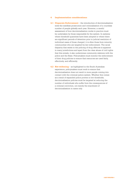#### **4 Implementation considerations:**

- **4.1 Disparate Enforcement** the introduction of decriminalisation ends the needless prosecution and criminalisation of a countless number of people globally each year. However, a careful assessment of how decriminalisation works in practice must be undertaken by those responsible for the system. In systems where threshold quantities have been adopted or where there are significant periods of detention prior to judicial resolution of individual cases of those charged, it is often those from minority communities who are targeted by law enforcement. The racial disparity that exists in the policing of drug offences is apparent in many jurisdictions and apart from the clear abuse of civil rights that this entails, it also undermines community relations with the police and the State. Policymakers must monitor the enforcement of their drug policies to ensure that resources are used fairly, effectively, and efficiently.
- **4.2 Net-widening** as highlighted in the South Australian experience, policymakers must work to ensure that decriminalisation does not result in more people coming into contact with the criminal justice system. Whether this comes as a result of expanded police powers or low thresholds, decriminalisation policies must be targeted at reducing the number of individuals who suffer from the consequences of a criminal conviction, not merely the enactment of decriminalisation in name only.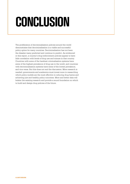## **CONCLUSION**

The proliferation of decriminalisation policies around the world demonstrates that decriminalisation is a viable and successful policy option for many countries. Decriminalisation has not been the disaster many predicted and continue to predict. As evidenced in this report, a country's drug-enforcement policies appear to have little correlation with levels of drug use and misuse in that country. Countries with some of the harshest criminalisation systems have some of the highest prevalence of drug use in the world, and countries with decriminalisation systems have some of the lowest prevalence, and vice versa. But this does not end the discussion. More research is needed; governments and academics must invest more in researching which policy models are the most effective in reducing drug harms and achieving just and healthy policy outcomes. More and better data will bolster the existing research and provide a sound foundation on which to build and design drug policies of the future.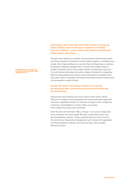**Recognizing that drug laws have little impact on drug use, policy-makers must be willing to consider the broader – and more difficult – social factors that influence individuals' relationships with drugs.**

Though more research is needed, socioeconomic characteristics such as income disparity and levels of social support appear to correlate more closely with drugs problems in a society than do drugs laws or policies. Preliminary research suggests that countries with higher levels of wealth inequality tend to have higher levels of problematic drug use.<sup>200</sup> It would behove advocates and policy-makers interested in designing effective drug policies that reduce costs and harms to recognize that drug use is often a symptom of broader social and economic factors and not necessarily a cause of them.

#### **Around the globe, increasing numbers of countries are assessing their current drug policies and considering the alternatives.**

Central and Latin America are at the centre of the call for reform. This trend towards a more pragmatic and evidenced-based approach will have a significant impact on millions of people's lives, ending the continued criminalisation of many within our society, most notably the young and vulnerable.

Over 50 years into the failed 'War on Drugs,' we must not forget that some countries now have nearly 40 years of experience with drug decriminalisation policies. These countries have as much to say to the world about drug policy management as do those with aggressive criminal prohibition regimes. And the time has come to begin listening to them.

**200. WILKINSON R, PICKETT K. THE SPIRIT LEVEL: WHY EQUALITY IS BETTER FOR EVERYONE. LONDON: PENGUIN BOOKS, 2010: P.71.**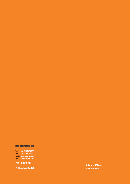#### **Drugs, The Law & Human Rights**

Tel: +44 (0)207 324 2979<br>Fax: +44 (0)207 324 2977<br>Email: ask@release.org.uk<br>Web: www.release.org.uk

 $ISBN - 0-904932-10-9$ 

© Release Publication 2012

**Designed by SVIDesign** www.svidesign.com